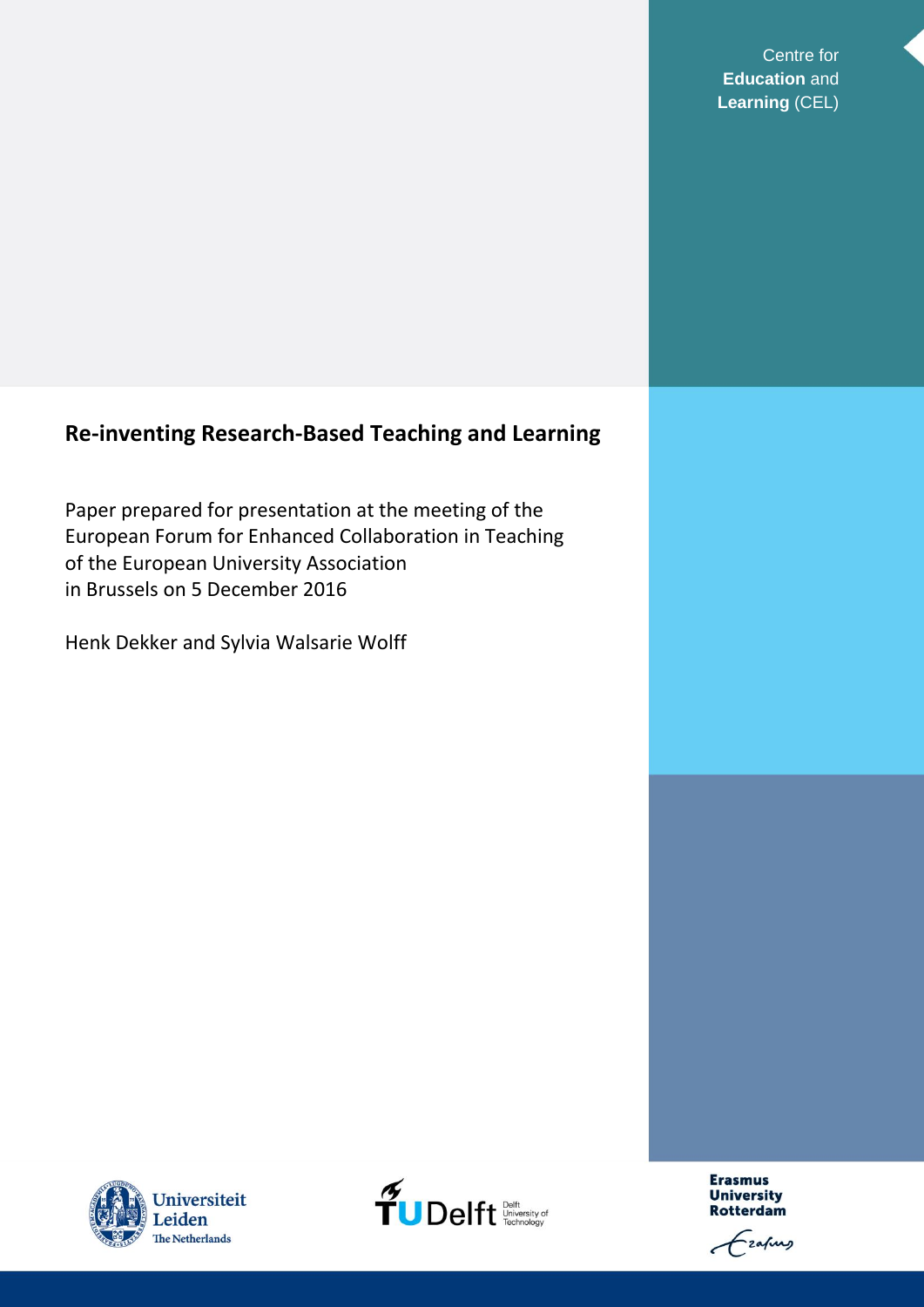Centre for **Education** and **Learning** (CEL)

# **Re-inventing Research-Based Teaching and Learning**

Paper prepared for presentation at the meeting of the European Forum for Enhanced Collaboration in Teaching of the European University Association in Brussels on 5 December 2016

Henk Dekker and Sylvia Walsarie Wolff





**Erasmus University Rotterdam** 

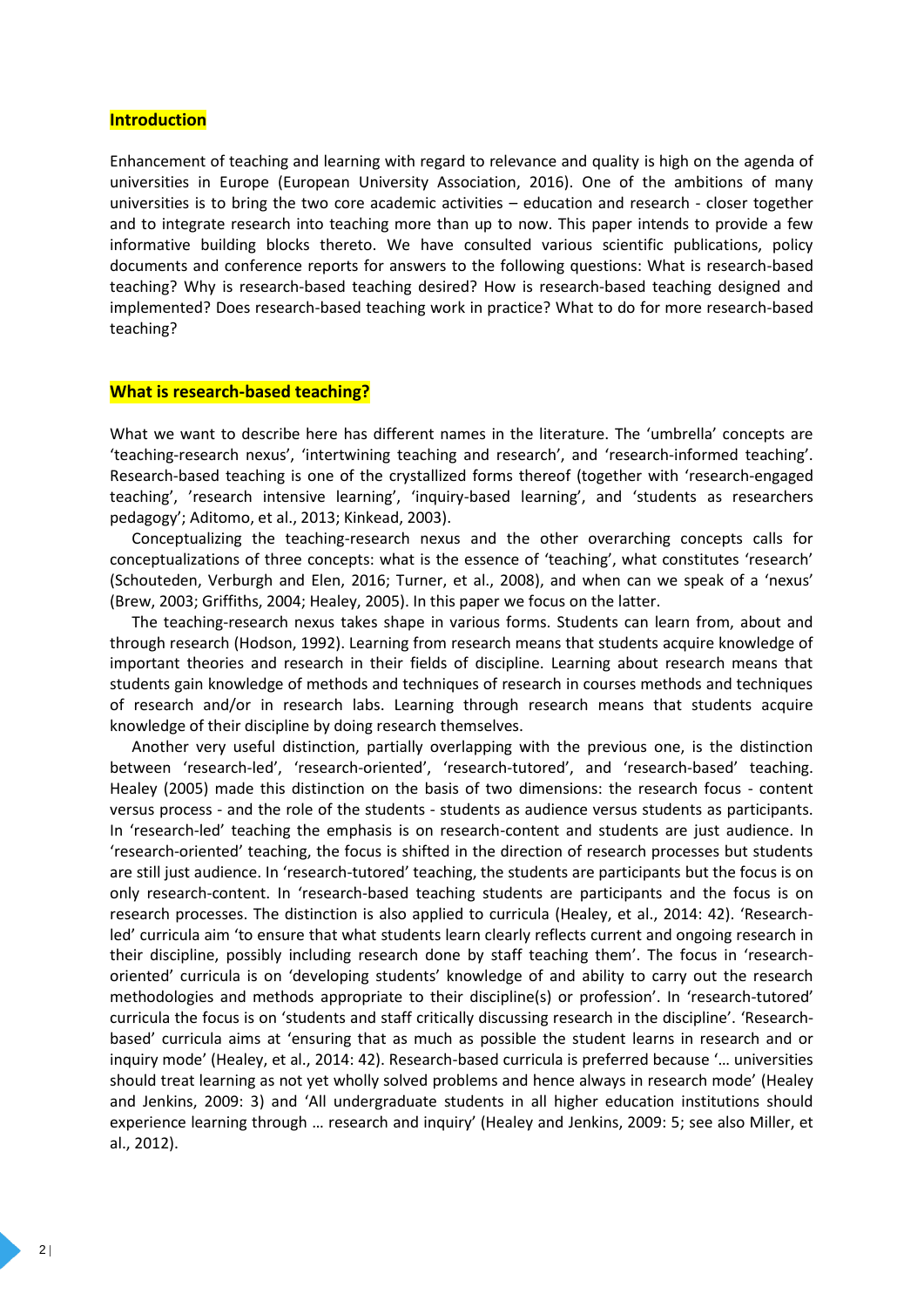#### **Introduction**

Enhancement of teaching and learning with regard to relevance and quality is high on the agenda of universities in Europe (European University Association, 2016). One of the ambitions of many universities is to bring the two core academic activities – education and research - closer together and to integrate research into teaching more than up to now. This paper intends to provide a few informative building blocks thereto. We have consulted various scientific publications, policy documents and conference reports for answers to the following questions: What is research-based teaching? Why is research-based teaching desired? How is research-based teaching designed and implemented? Does research-based teaching work in practice? What to do for more research-based teaching?

#### **What is research-based teaching?**

What we want to describe here has different names in the literature. The 'umbrella' concepts are 'teaching-research nexus', 'intertwining teaching and research', and 'research-informed teaching'. Research-based teaching is one of the crystallized forms thereof (together with 'research-engaged teaching', 'research intensive learning', 'inquiry-based learning', and 'students as researchers pedagogy'; Aditomo, et al., 2013; Kinkead, 2003).

Conceptualizing the teaching-research nexus and the other overarching concepts calls for conceptualizations of three concepts: what is the essence of 'teaching', what constitutes 'research' (Schouteden, Verburgh and Elen, 2016; Turner, et al., 2008), and when can we speak of a 'nexus' (Brew, 2003; Griffiths, 2004; Healey, 2005). In this paper we focus on the latter.

The teaching-research nexus takes shape in various forms. Students can learn from, about and through research (Hodson, 1992). Learning from research means that students acquire knowledge of important theories and research in their fields of discipline. Learning about research means that students gain knowledge of methods and techniques of research in courses methods and techniques of research and/or in research labs. Learning through research means that students acquire knowledge of their discipline by doing research themselves.

Another very useful distinction, partially overlapping with the previous one, is the distinction between 'research-led', 'research-oriented', 'research-tutored', and 'research-based' teaching. Healey (2005) made this distinction on the basis of two dimensions: the research focus - content versus process - and the role of the students - students as audience versus students as participants. In 'research-led' teaching the emphasis is on research-content and students are just audience. In 'research-oriented' teaching, the focus is shifted in the direction of research processes but students are still just audience. In 'research-tutored' teaching, the students are participants but the focus is on only research-content. In 'research-based teaching students are participants and the focus is on research processes. The distinction is also applied to curricula (Healey, et al., 2014: 42). 'Researchled' curricula aim 'to ensure that what students learn clearly reflects current and ongoing research in their discipline, possibly including research done by staff teaching them'. The focus in 'researchoriented' curricula is on 'developing students' knowledge of and ability to carry out the research methodologies and methods appropriate to their discipline(s) or profession'. In 'research-tutored' curricula the focus is on 'students and staff critically discussing research in the discipline'. 'Researchbased' curricula aims at 'ensuring that as much as possible the student learns in research and or inquiry mode' (Healey, et al., 2014: 42). Research-based curricula is preferred because '… universities should treat learning as not yet wholly solved problems and hence always in research mode' (Healey and Jenkins, 2009: 3) and 'All undergraduate students in all higher education institutions should experience learning through … research and inquiry' (Healey and Jenkins, 2009: 5; see also Miller, et al., 2012).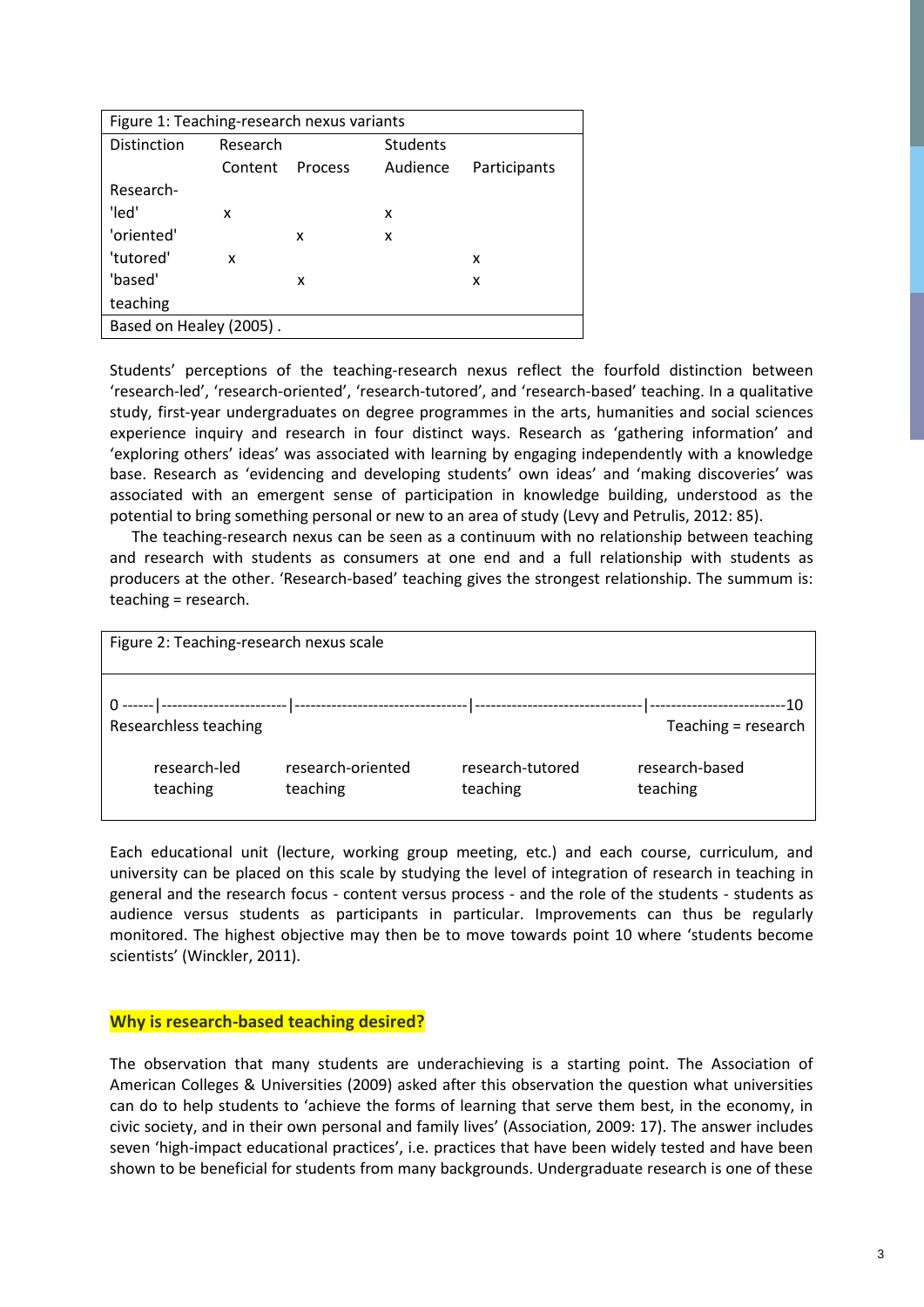| Figure 1: Teaching-research nexus variants |          |                |                 |              |  |  |  |
|--------------------------------------------|----------|----------------|-----------------|--------------|--|--|--|
| Distinction                                | Research |                | <b>Students</b> |              |  |  |  |
|                                            | Content  | <b>Process</b> | Audience        | Participants |  |  |  |
| Research-                                  |          |                |                 |              |  |  |  |
| 'led'                                      | x        |                | x               |              |  |  |  |
| 'oriented'                                 |          | x              | x               |              |  |  |  |
| 'tutored'                                  | x        |                |                 | x            |  |  |  |
| 'based'                                    |          | x              |                 | x            |  |  |  |
| teaching                                   |          |                |                 |              |  |  |  |
| Based on Healey (2005).                    |          |                |                 |              |  |  |  |

Students' perceptions of the teaching-research nexus reflect the fourfold distinction between 'research-led', 'research-oriented', 'research-tutored', and 'research-based' teaching. In a qualitative study, first-year undergraduates on degree programmes in the arts, humanities and social sciences experience inquiry and research in four distinct ways. Research as 'gathering information' and 'exploring others' ideas' was associated with learning by engaging independently with a knowledge base. Research as 'evidencing and developing students' own ideas' and 'making discoveries' was associated with an emergent sense of participation in knowledge building, understood as the potential to bring something personal or new to an area of study (Levy and Petrulis, 2012: 85).

The teaching-research nexus can be seen as a continuum with no relationship between teaching and research with students as consumers at one end and a full relationship with students as producers at the other. 'Research-based' teaching gives the strongest relationship. The summum is: teaching = research.

| Figure 2: Teaching-research nexus scale |                          |                               |                              |                            |  |  |
|-----------------------------------------|--------------------------|-------------------------------|------------------------------|----------------------------|--|--|
|                                         | Researchless teaching    |                               |                              | Teaching = research        |  |  |
|                                         | research-led<br>teaching | research-oriented<br>teaching | research-tutored<br>teaching | research-based<br>teaching |  |  |

Each educational unit (lecture, working group meeting, etc.) and each course, curriculum, and university can be placed on this scale by studying the level of integration of research in teaching in general and the research focus - content versus process - and the role of the students - students as audience versus students as participants in particular. Improvements can thus be regularly monitored. The highest objective may then be to move towards point 10 where 'students become scientists' (Winckler, 2011).

# **Why is research-based teaching desired?**

The observation that many students are underachieving is a starting point. The Association of American Colleges & Universities (2009) asked after this observation the question what universities can do to help students to 'achieve the forms of learning that serve them best, in the economy, in civic society, and in their own personal and family lives' (Association, 2009: 17). The answer includes seven 'high-impact educational practices', i.e. practices that have been widely tested and have been shown to be beneficial for students from many backgrounds. Undergraduate research is one of these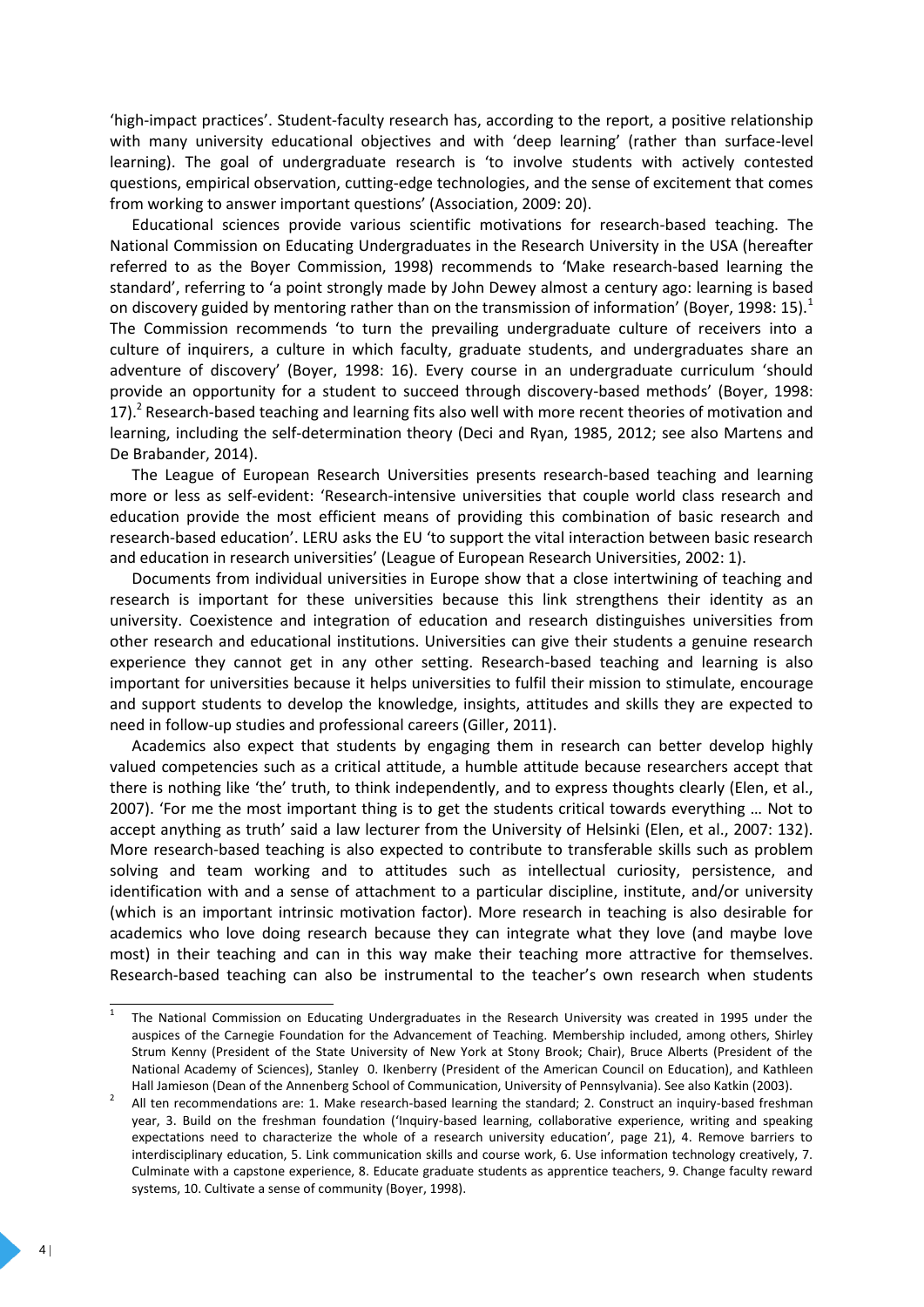'high-impact practices'. Student-faculty research has, according to the report, a positive relationship with many university educational objectives and with 'deep learning' (rather than surface-level learning). The goal of undergraduate research is 'to involve students with actively contested questions, empirical observation, cutting-edge technologies, and the sense of excitement that comes from working to answer important questions' (Association, 2009: 20).

Educational sciences provide various scientific motivations for research-based teaching. The National Commission on Educating Undergraduates in the Research University in the USA (hereafter referred to as the Boyer Commission, 1998) recommends to 'Make research-based learning the standard', referring to 'a point strongly made by John Dewey almost a century ago: learning is based on discovery guided by mentoring rather than on the transmission of information' (Boyer, 1998: 15).<sup>1</sup> The Commission recommends 'to turn the prevailing undergraduate culture of receivers into a culture of inquirers, a culture in which faculty, graduate students, and undergraduates share an adventure of discovery' (Boyer, 1998: 16). Every course in an undergraduate curriculum 'should provide an opportunity for a student to succeed through discovery-based methods' (Boyer, 1998: 17). $^2$  Research-based teaching and learning fits also well with more recent theories of motivation and learning, including the self-determination theory (Deci and Ryan, 1985, 2012; see also Martens and De Brabander, 2014).

The League of European Research Universities presents research-based teaching and learning more or less as self-evident: 'Research-intensive universities that couple world class research and education provide the most efficient means of providing this combination of basic research and research-based education'. LERU asks the EU 'to support the vital interaction between basic research and education in research universities' (League of European Research Universities, 2002: 1).

Documents from individual universities in Europe show that a close intertwining of teaching and research is important for these universities because this link strengthens their identity as an university. Coexistence and integration of education and research distinguishes universities from other research and educational institutions. Universities can give their students a genuine research experience they cannot get in any other setting. Research-based teaching and learning is also important for universities because it helps universities to fulfil their mission to stimulate, encourage and support students to develop the knowledge, insights, attitudes and skills they are expected to need in follow-up studies and professional careers (Giller, 2011).

Academics also expect that students by engaging them in research can better develop highly valued competencies such as a critical attitude, a humble attitude because researchers accept that there is nothing like 'the' truth, to think independently, and to express thoughts clearly (Elen, et al., 2007). 'For me the most important thing is to get the students critical towards everything … Not to accept anything as truth' said a law lecturer from the University of Helsinki (Elen, et al., 2007: 132). More research-based teaching is also expected to contribute to transferable skills such as problem solving and team working and to attitudes such as intellectual curiosity, persistence, and identification with and a sense of attachment to a particular discipline, institute, and/or university (which is an important intrinsic motivation factor). More research in teaching is also desirable for academics who love doing research because they can integrate what they love (and maybe love most) in their teaching and can in this way make their teaching more attractive for themselves. Research-based teaching can also be instrumental to the teacher's own research when students

 $\frac{1}{1}$ The National Commission on Educating Undergraduates in the Research University was created in 1995 under the auspices of the Carnegie Foundation for the Advancement of Teaching. Membership included, among others, Shirley Strum Kenny (President of the State University of New York at Stony Brook; Chair), Bruce Alberts (President of the National Academy of Sciences), Stanley 0. Ikenberry (President of the American Council on Education), and Kathleen Hall Jamieson (Dean of the Annenberg School of Communication, University of Pennsylvania). See also Katkin (2003).

<sup>2</sup> All ten recommendations are: 1. Make research-based learning the standard; 2. Construct an inquiry-based freshman year, 3. Build on the freshman foundation ('Inquiry-based learning, collaborative experience, writing and speaking expectations need to characterize the whole of a research university education', page 21), 4. Remove barriers to interdisciplinary education, 5. Link communication skills and course work, 6. Use information technology creatively, 7. Culminate with a capstone experience, 8. Educate graduate students as apprentice teachers, 9. Change faculty reward systems, 10. Cultivate a sense of community (Boyer, 1998).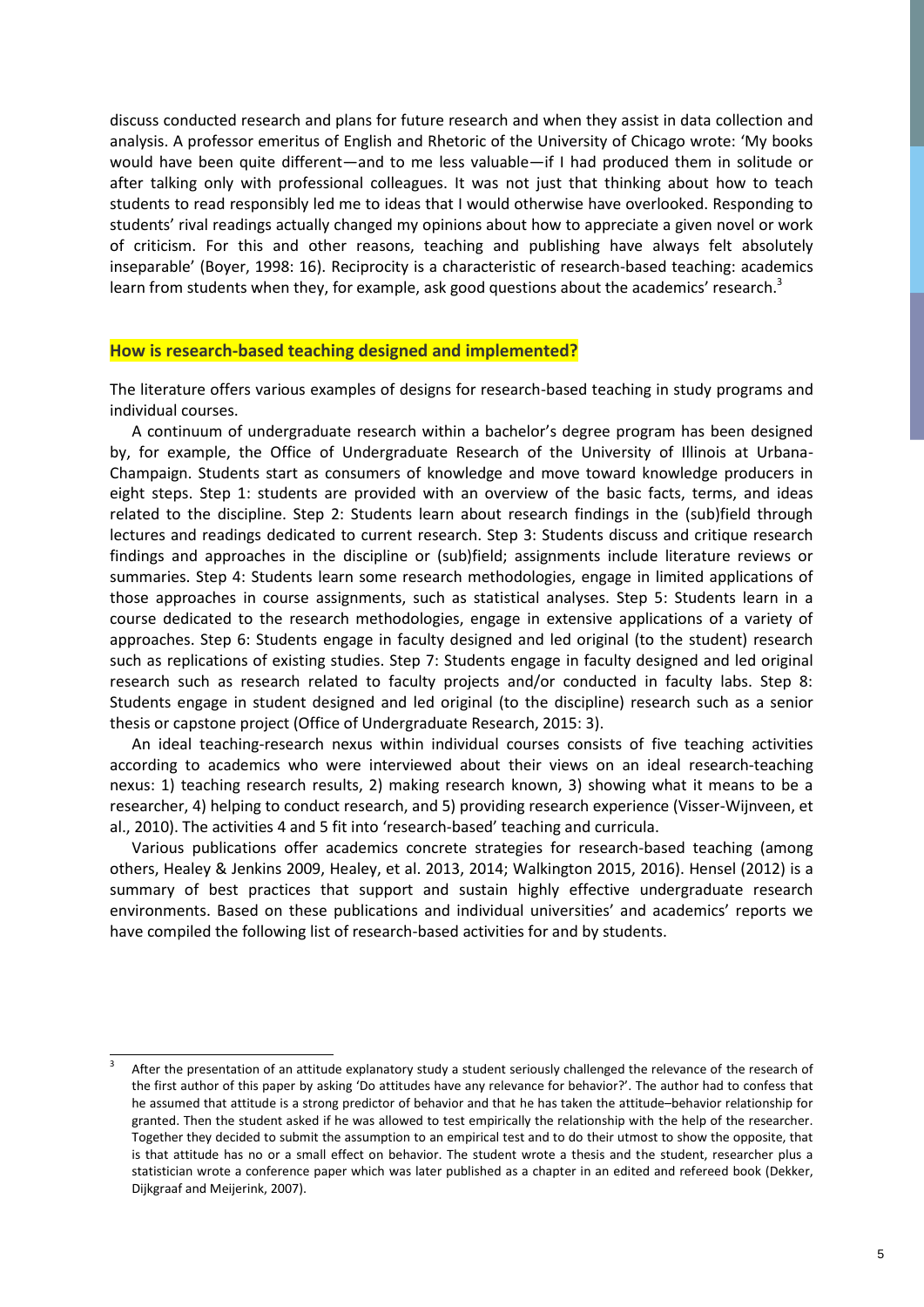discuss conducted research and plans for future research and when they assist in data collection and analysis. A professor emeritus of English and Rhetoric of the University of Chicago wrote: 'My books would have been quite different—and to me less valuable—if I had produced them in solitude or after talking only with professional colleagues. It was not just that thinking about how to teach students to read responsibly led me to ideas that I would otherwise have overlooked. Responding to students' rival readings actually changed my opinions about how to appreciate a given novel or work of criticism. For this and other reasons, teaching and publishing have always felt absolutely inseparable' (Boyer, 1998: 16). Reciprocity is a characteristic of research-based teaching: academics learn from students when they, for example, ask good questions about the academics' research. $^3$ 

#### **How is research-based teaching designed and implemented?**

The literature offers various examples of designs for research-based teaching in study programs and individual courses.

A continuum of undergraduate research within a bachelor's degree program has been designed by, for example, the Office of Undergraduate Research of the University of Illinois at Urbana-Champaign. Students start as consumers of knowledge and move toward knowledge producers in eight steps. Step 1: students are provided with an overview of the basic facts, terms, and ideas related to the discipline. Step 2: Students learn about research findings in the (sub)field through lectures and readings dedicated to current research. Step 3: Students discuss and critique research findings and approaches in the discipline or (sub)field; assignments include literature reviews or summaries. Step 4: Students learn some research methodologies, engage in limited applications of those approaches in course assignments, such as statistical analyses. Step 5: Students learn in a course dedicated to the research methodologies, engage in extensive applications of a variety of approaches. Step 6: Students engage in faculty designed and led original (to the student) research such as replications of existing studies. Step 7: Students engage in faculty designed and led original research such as research related to faculty projects and/or conducted in faculty labs. Step 8: Students engage in student designed and led original (to the discipline) research such as a senior thesis or capstone project (Office of Undergraduate Research, 2015: 3).

An ideal teaching-research nexus within individual courses consists of five teaching activities according to academics who were interviewed about their views on an ideal research-teaching nexus: 1) teaching research results, 2) making research known, 3) showing what it means to be a researcher, 4) helping to conduct research, and 5) providing research experience (Visser-Wijnveen, et al., 2010). The activities 4 and 5 fit into 'research-based' teaching and curricula.

 Various publications offer academics concrete strategies for research-based teaching (among others, Healey & Jenkins 2009, Healey, et al. 2013, 2014; Walkington 2015, 2016). Hensel (2012) is a summary of best practices that support and sustain highly effective undergraduate research environments. Based on these publications and individual universities' and academics' reports we have compiled the following list of research-based activities for and by students.

 3 After the presentation of an attitude explanatory study a student seriously challenged the relevance of the research of the first author of this paper by asking 'Do attitudes have any relevance for behavior?'. The author had to confess that he assumed that attitude is a strong predictor of behavior and that he has taken the attitude–behavior relationship for granted. Then the student asked if he was allowed to test empirically the relationship with the help of the researcher. Together they decided to submit the assumption to an empirical test and to do their utmost to show the opposite, that is that attitude has no or a small effect on behavior. The student wrote a thesis and the student, researcher plus a statistician wrote a conference paper which was later published as a chapter in an edited and refereed book (Dekker, Dijkgraaf and Meijerink, 2007).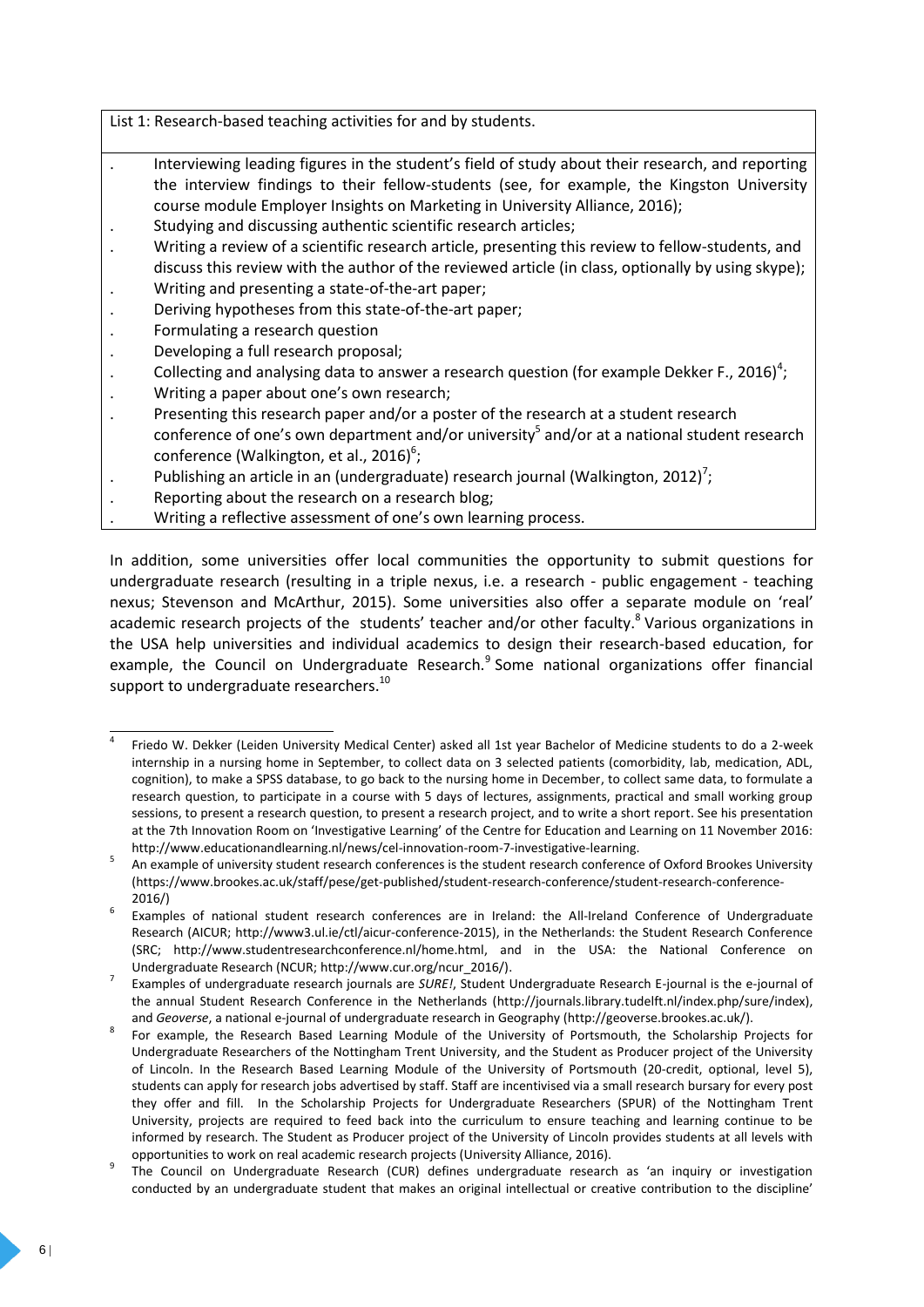List 1: Research-based teaching activities for and by students.

- . Interviewing leading figures in the student's field of study about their research, and reporting the interview findings to their fellow-students (see, for example, the Kingston University course module Employer Insights on Marketing in University Alliance, 2016);
- . Studying and discussing authentic scientific research articles;
- . Writing a review of a scientific research article, presenting this review to fellow-students, and
- discuss this review with the author of the reviewed article (in class, optionally by using skype); . Writing and presenting a state-of-the-art paper;
- . Deriving hypotheses from this state-of-the-art paper;
- . Formulating a research question
- . Developing a full research proposal;
- . Collecting and analysing data to answer a research question (for example Dekker F., 2016)<sup>4</sup>;
- . Writing a paper about one's own research;
- . Presenting this research paper and/or a poster of the research at a student research conference of one's own department and/or university<sup>5</sup> and/or at a national student research conference (Walkington, et al., 2016)<sup>6</sup>;
- . Publishing an article in an (undergraduate) research journal (Walkington, 2012)<sup>7</sup>;
- . Reporting about the research on a research blog;
- . Writing a reflective assessment of one's own learning process.

In addition, some universities offer local communities the opportunity to submit questions for undergraduate research (resulting in a triple nexus, i.e. a research - public engagement - teaching nexus; Stevenson and McArthur, 2015). Some universities also offer a separate module on 'real' academic research projects of the students' teacher and/or other faculty.<sup>8</sup> Various organizations in the USA help universities and individual academics to design their research-based education, for example, the Council on Undergraduate Research.<sup>9</sup> Some national organizations offer financial support to undergraduate researchers. $^{10}$ 

 $\overline{a}$ 4 Friedo W. Dekker (Leiden University Medical Center) asked all 1st year Bachelor of Medicine students to do a 2-week internship in a nursing home in September, to collect data on 3 selected patients (comorbidity, lab, medication, ADL, cognition), to make a SPSS database, to go back to the nursing home in December, to collect same data, to formulate a research question, to participate in a course with 5 days of lectures, assignments, practical and small working group sessions, to present a research question, to present a research project, and to write a short report. See his presentation at the 7th Innovation Room on 'Investigative Learning' of the Centre for Education and Learning on 11 November 2016: [http://www.educationandlearning.nl/news/cel-innovation-room-7-investigative-learning.](http://www.educationandlearning.nl/news/cel-innovation-room-7-investigative-learning)

<sup>5</sup> An example of university student research conferences is the student research conference of Oxford Brookes University [\(https://www.brookes.ac.uk/staff/pese/get-published/student-research-conference/student-research-conference-](https://www.brookes.ac.uk/staff/pese/get-published/student-research-conference/student-research-conference-2016/)[2016/\)](https://www.brookes.ac.uk/staff/pese/get-published/student-research-conference/student-research-conference-2016/)

<sup>6</sup> Examples of national student research conferences are in Ireland: the All-Ireland Conference of Undergraduate Research (AICUR; [http://www3.ul.ie/ctl/aicur-conference-2015\),](http://www3.ul.ie/ctl/aicur-conference-2015) in the Netherlands: the Student Research Conference (SRC; [http://www.studentresearchconference.nl/home.html,](http://www.studentresearchconference.nl/home.html) and in the USA: the National Conference on Undergraduate Research (NCUR[; http://www.cur.org/ncur\\_2016/\)](http://www.cur.org/ncur_2016/).

<sup>7</sup> Examples of undergraduate research journals are *SURE!*, Student Undergraduate Research E-journal is the e-journal of the annual Student Research Conference in the Netherlands [\(http://journals.library.tudelft.nl/index.php/sure/index\)](http://journals.library.tudelft.nl/index.php/sure/index), and *Geoverse*, a national e-journal of undergraduate research in Geography [\(http://geoverse.brookes.ac.uk/\)](http://geoverse.brookes.ac.uk/).

<sup>8</sup> For example, the Research Based Learning Module of the University of Portsmouth, the Scholarship Projects for Undergraduate Researchers of the Nottingham Trent University, and the Student as Producer project of the University of Lincoln. In the Research Based Learning Module of the University of Portsmouth (20-credit, optional, level 5), students can apply for research jobs advertised by staff. Staff are incentivised via a small research bursary for every post they offer and fill. In the Scholarship Projects for Undergraduate Researchers (SPUR) of the Nottingham Trent University, projects are required to feed back into the curriculum to ensure teaching and learning continue to be informed by research. The Student as Producer project of the University of Lincoln provides students at all levels with opportunities to work on real academic research projects (University Alliance, 2016).

<sup>9</sup> The Council on Undergraduate Research (CUR) defines undergraduate research as 'an inquiry or investigation conducted by an undergraduate student that makes an original intellectual or creative contribution to the discipline'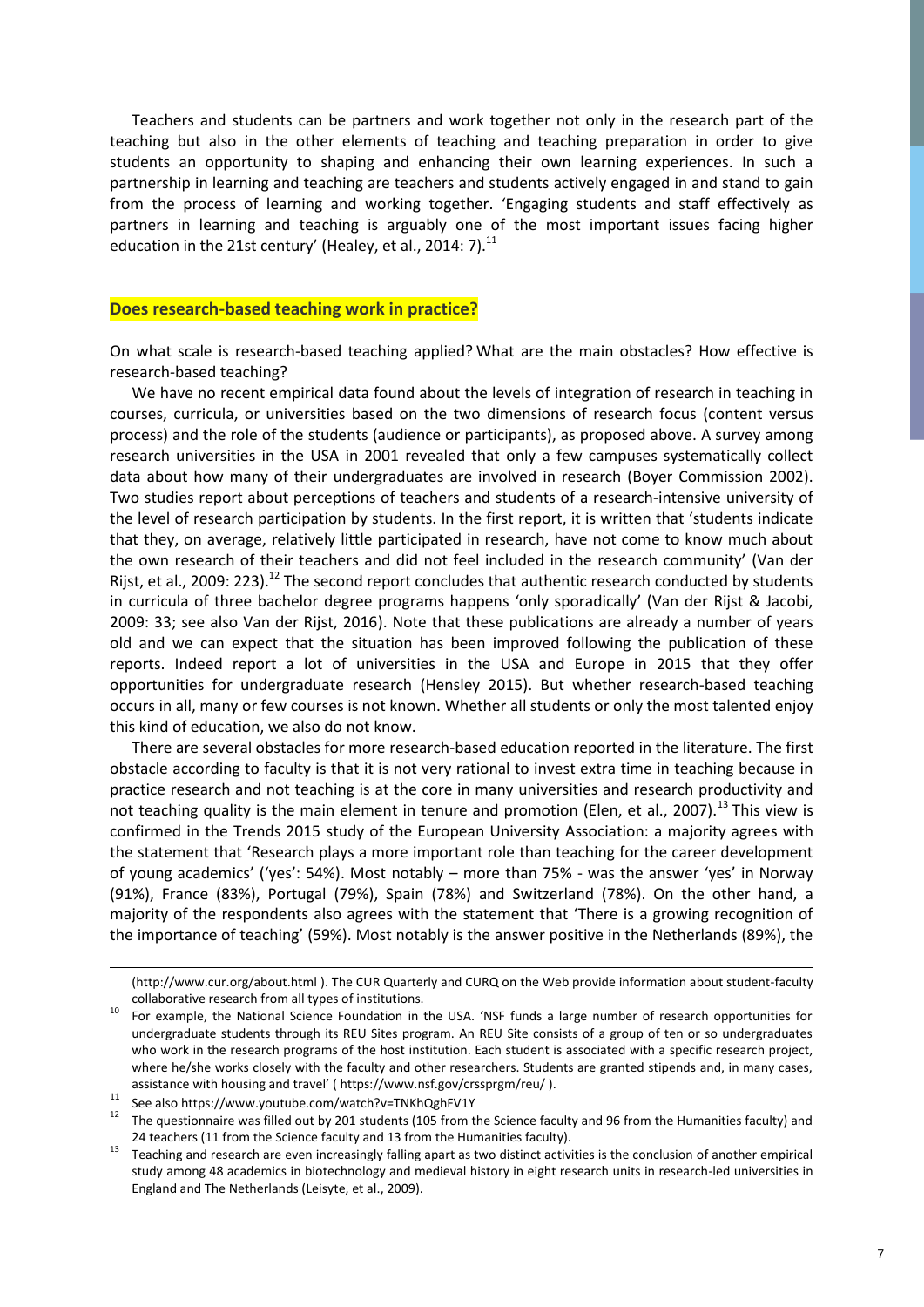Teachers and students can be partners and work together not only in the research part of the teaching but also in the other elements of teaching and teaching preparation in order to give students an opportunity to shaping and enhancing their own learning experiences. In such a partnership in learning and teaching are teachers and students actively engaged in and stand to gain from the process of learning and working together. 'Engaging students and staff effectively as partners in learning and teaching is arguably one of the most important issues facing higher education in the 21st century' (Healey, et al., 2014: 7). $^{11}$ 

#### **Does research-based teaching work in practice?**

On what scale is research-based teaching applied? What are the main obstacles? How effective is research-based teaching?

We have no recent empirical data found about the levels of integration of research in teaching in courses, curricula, or universities based on the two dimensions of research focus (content versus process) and the role of the students (audience or participants), as proposed above. A survey among research universities in the USA in 2001 revealed that only a few campuses systematically collect data about how many of their undergraduates are involved in research (Boyer Commission 2002). Two studies report about perceptions of teachers and students of a research-intensive university of the level of research participation by students. In the first report, it is written that 'students indicate that they, on average, relatively little participated in research, have not come to know much about the own research of their teachers and did not feel included in the research community' (Van der Rijst, et al., 2009: 223).<sup>12</sup> The second report concludes that authentic research conducted by students in curricula of three bachelor degree programs happens 'only sporadically' (Van der Rijst & Jacobi, 2009: 33; see also Van der Rijst, 2016). Note that these publications are already a number of years old and we can expect that the situation has been improved following the publication of these reports. Indeed report a lot of universities in the USA and Europe in 2015 that they offer opportunities for undergraduate research (Hensley 2015). But whether research-based teaching occurs in all, many or few courses is not known. Whether all students or only the most talented enjoy this kind of education, we also do not know.

There are several obstacles for more research-based education reported in the literature. The first obstacle according to faculty is that it is not very rational to invest extra time in teaching because in practice research and not teaching is at the core in many universities and research productivity and not teaching quality is the main element in tenure and promotion (Elen, et al., 2007).<sup>13</sup> This view is confirmed in the Trends 2015 study of the European University Association: a majority agrees with the statement that 'Research plays a more important role than teaching for the career development of young academics' ('yes': 54%). Most notably – more than 75% - was the answer 'yes' in Norway (91%), France (83%), Portugal (79%), Spain (78%) and Switzerland (78%). On the other hand, a majority of the respondents also agrees with the statement that 'There is a growing recognition of the importance of teaching' (59%). Most notably is the answer positive in the Netherlands (89%), the

 $\overline{a}$ 

[<sup>\(</sup>http://www.cur.org/about.html](http://www.cur.org/about.html) ). The CUR Quarterly and CURQ on the Web provide information about student-faculty collaborative research from all types of institutions.

<sup>10</sup> For example, the National Science Foundation in the USA. 'NSF funds a large number of research opportunities for undergraduate students through its REU Sites program. An REU Site consists of a group of ten or so undergraduates who work in the research programs of the host institution. Each student is associated with a specific research project, where he/she works closely with the faculty and other researchers. Students are granted stipends and, in many cases, assistance with housing and travel' ( <https://www.nsf.gov/crssprgm/reu/> ).

 $11$  See also<https://www.youtube.com/watch?v=TNKhQghFV1Y>

 $12$  The questionnaire was filled out by 201 students (105 from the Science faculty and 96 from the Humanities faculty) and 24 teachers (11 from the Science faculty and 13 from the Humanities faculty).

 $13$  Teaching and research are even increasingly falling apart as two distinct activities is the conclusion of another empirical study among 48 academics in biotechnology and medieval history in eight research units in research-led universities in England and The Netherlands (Leisyte, et al., 2009).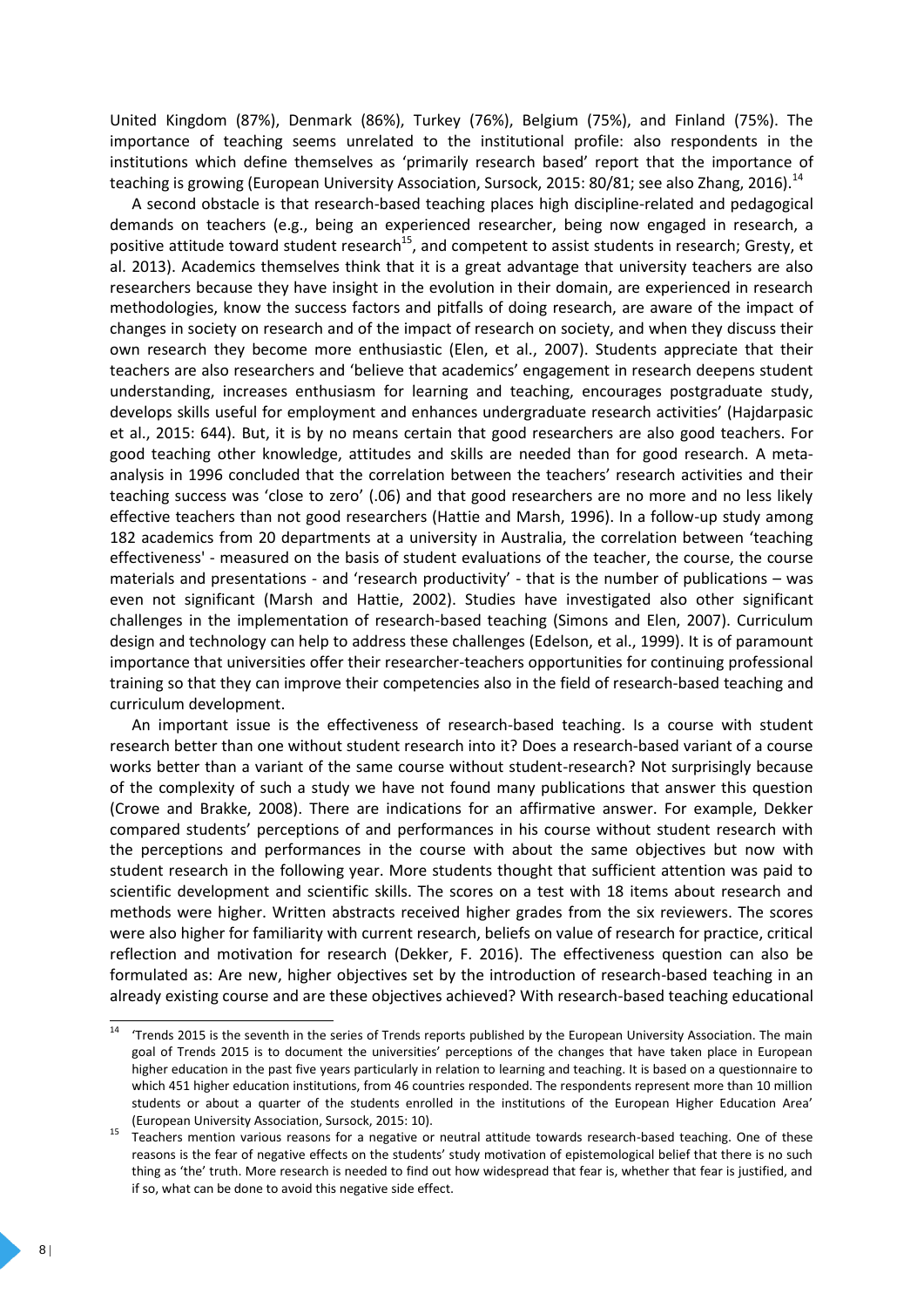United Kingdom (87%), Denmark (86%), Turkey (76%), Belgium (75%), and Finland (75%). The importance of teaching seems unrelated to the institutional profile: also respondents in the institutions which define themselves as 'primarily research based' report that the importance of teaching is growing (European University Association, Sursock, 2015: 80/81; see also Zhang, 2016).<sup>14</sup>

A second obstacle is that research-based teaching places high discipline-related and pedagogical demands on teachers (e.g., being an experienced researcher, being now engaged in research, a positive attitude toward student research<sup>15</sup>, and competent to assist students in research; Gresty, et al. 2013). Academics themselves think that it is a great advantage that university teachers are also researchers because they have insight in the evolution in their domain, are experienced in research methodologies, know the success factors and pitfalls of doing research, are aware of the impact of changes in society on research and of the impact of research on society, and when they discuss their own research they become more enthusiastic (Elen, et al., 2007). Students appreciate that their teachers are also researchers and 'believe that academics' engagement in research deepens student understanding, increases enthusiasm for learning and teaching, encourages postgraduate study, develops skills useful for employment and enhances undergraduate research activities' (Hajdarpasic et al., 2015: 644). But, it is by no means certain that good researchers are also good teachers. For good teaching other knowledge, attitudes and skills are needed than for good research. A metaanalysis in 1996 concluded that the correlation between the teachers' research activities and their teaching success was 'close to zero' (.06) and that good researchers are no more and no less likely effective teachers than not good researchers (Hattie and Marsh, 1996). In a follow-up study among 182 academics from 20 departments at a university in Australia, the correlation between 'teaching effectiveness' - measured on the basis of student evaluations of the teacher, the course, the course materials and presentations - and 'research productivity' - that is the number of publications – was even not significant (Marsh and Hattie, 2002). Studies have investigated also other significant challenges in the implementation of research-based teaching (Simons and Elen, 2007). Curriculum design and technology can help to address these challenges (Edelson, et al., 1999). It is of paramount importance that universities offer their researcher-teachers opportunities for continuing professional training so that they can improve their competencies also in the field of research-based teaching and curriculum development.

An important issue is the effectiveness of research-based teaching. Is a course with student research better than one without student research into it? Does a research-based variant of a course works better than a variant of the same course without student-research? Not surprisingly because of the complexity of such a study we have not found many publications that answer this question (Crowe and Brakke, 2008). There are indications for an affirmative answer. For example, Dekker compared students' perceptions of and performances in his course without student research with the perceptions and performances in the course with about the same objectives but now with student research in the following year. More students thought that sufficient attention was paid to scientific development and scientific skills. The scores on a test with 18 items about research and methods were higher. Written abstracts received higher grades from the six reviewers. The scores were also higher for familiarity with current research, beliefs on value of research for practice, critical reflection and motivation for research (Dekker, F. 2016). The effectiveness question can also be formulated as: Are new, higher objectives set by the introduction of research-based teaching in an already existing course and are these objectives achieved? With research-based teaching educational

 $14$ 'Trends 2015 is the seventh in the series of Trends reports published by the European University Association. The main goal of Trends 2015 is to document the universities' perceptions of the changes that have taken place in European higher education in the past five years particularly in relation to learning and teaching. It is based on a questionnaire to which 451 higher education institutions, from 46 countries responded. The respondents represent more than 10 million students or about a quarter of the students enrolled in the institutions of the European Higher Education Area' (European University Association, Sursock, 2015: 10).

<sup>&</sup>lt;sup>15</sup> Teachers mention various reasons for a negative or neutral attitude towards research-based teaching. One of these reasons is the fear of negative effects on the students' study motivation of epistemological belief that there is no such thing as 'the' truth. More research is needed to find out how widespread that fear is, whether that fear is justified, and if so, what can be done to avoid this negative side effect.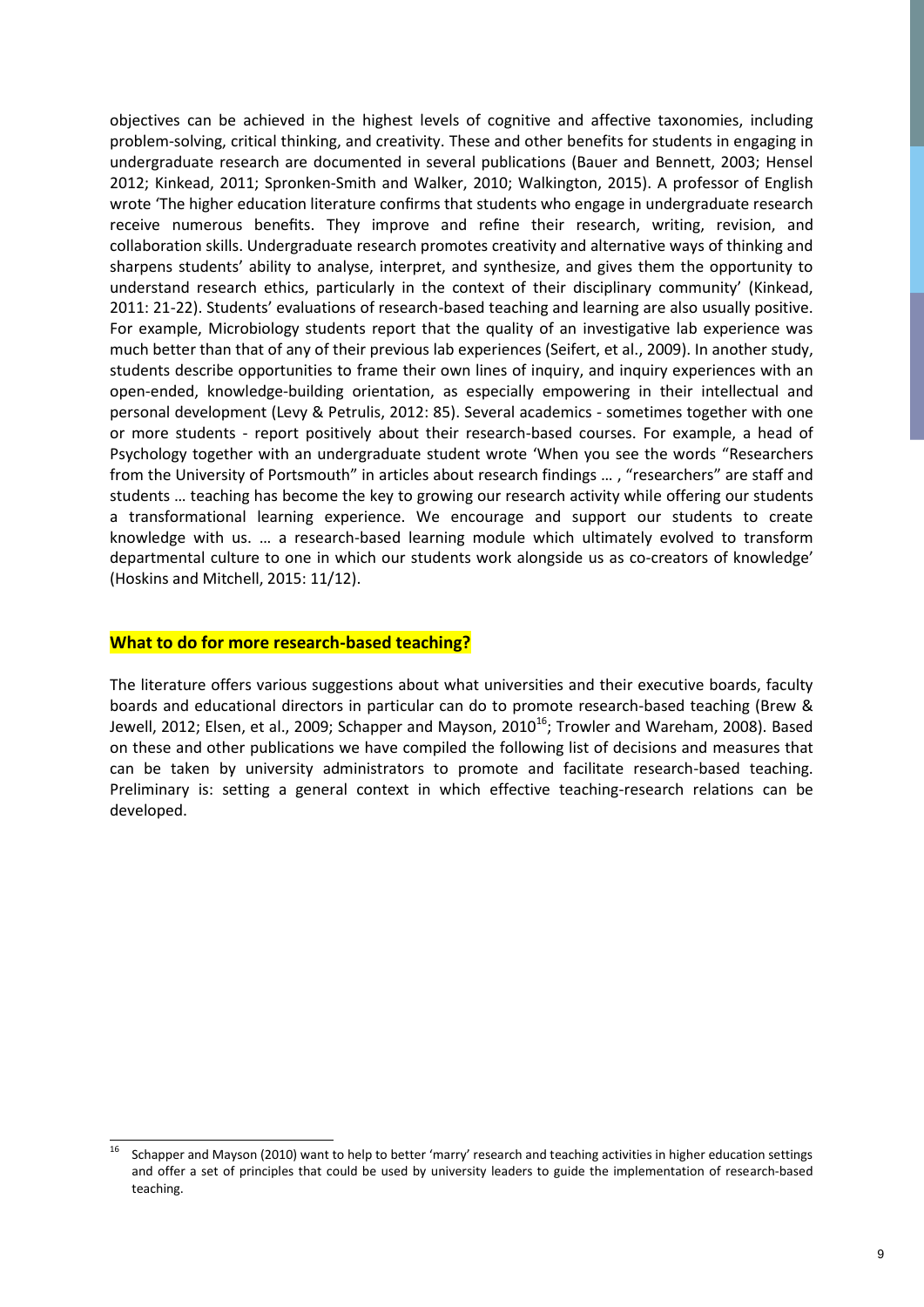objectives can be achieved in the highest levels of cognitive and affective taxonomies, including problem-solving, critical thinking, and creativity. These and other benefits for students in engaging in undergraduate research are documented in several publications (Bauer and Bennett, 2003; Hensel 2012; Kinkead, 2011; Spronken-Smith and Walker, 2010; Walkington, 2015). A professor of English wrote 'The higher education literature confirms that students who engage in undergraduate research receive numerous benefits. They improve and refine their research, writing, revision, and collaboration skills. Undergraduate research promotes creativity and alternative ways of thinking and sharpens students' ability to analyse, interpret, and synthesize, and gives them the opportunity to understand research ethics, particularly in the context of their disciplinary community' (Kinkead, 2011: 21-22). Students' evaluations of research-based teaching and learning are also usually positive. For example, Microbiology students report that the quality of an investigative lab experience was much better than that of any of their previous lab experiences (Seifert, et al., 2009). In another study, students describe opportunities to frame their own lines of inquiry, and inquiry experiences with an open-ended, knowledge-building orientation, as especially empowering in their intellectual and personal development (Levy & Petrulis, 2012: 85). Several academics - sometimes together with one or more students - report positively about their research-based courses. For example, a head of Psychology together with an undergraduate student wrote 'When you see the words "Researchers from the University of Portsmouth" in articles about research findings … , "researchers" are staff and students … teaching has become the key to growing our research activity while offering our students a transformational learning experience. We encourage and support our students to create knowledge with us. … a research-based learning module which ultimately evolved to transform departmental culture to one in which our students work alongside us as co-creators of knowledge' (Hoskins and Mitchell, 2015: 11/12).

### **What to do for more research-based teaching?**

The literature offers various suggestions about what universities and their executive boards, faculty boards and educational directors in particular can do to promote research-based teaching (Brew & Jewell, 2012; Elsen, et al., 2009; Schapper and Mayson, 2010<sup>16</sup>; Trowler and Wareham, 2008). Based on these and other publications we have compiled the following list of decisions and measures that can be taken by university administrators to promote and facilitate research-based teaching. Preliminary is: setting a general context in which effective teaching-research relations can be developed.

l <sup>16</sup> Schapper and Mayson (2010) want to help to better 'marry' research and teaching activities in higher education settings and offer a set of principles that could be used by university leaders to guide the implementation of research-based teaching.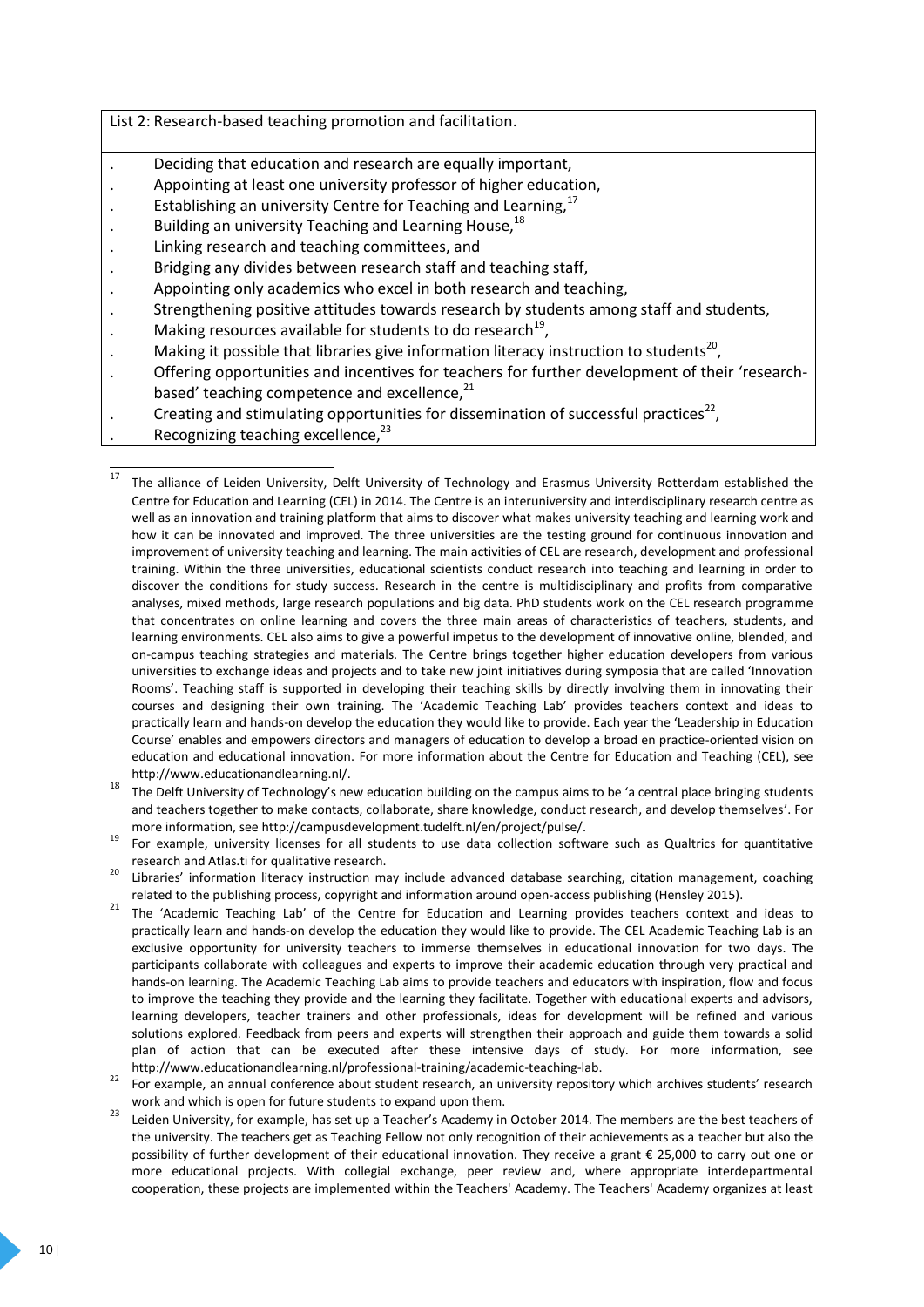| List 2: Research-based teaching promotion and facilitation.                                         |  |  |  |  |
|-----------------------------------------------------------------------------------------------------|--|--|--|--|
|                                                                                                     |  |  |  |  |
| Deciding that education and research are equally important,                                         |  |  |  |  |
| Appointing at least one university professor of higher education,                                   |  |  |  |  |
| Establishing an university Centre for Teaching and Learning, <sup>17</sup>                          |  |  |  |  |
| Building an university Teaching and Learning House, <sup>18</sup>                                   |  |  |  |  |
| Linking research and teaching committees, and                                                       |  |  |  |  |
| Bridging any divides between research staff and teaching staff,                                     |  |  |  |  |
| Appointing only academics who excel in both research and teaching,                                  |  |  |  |  |
| Strengthening positive attitudes towards research by students among staff and students,             |  |  |  |  |
| Making resources available for students to do research <sup>19</sup> ,                              |  |  |  |  |
| Making it possible that libraries give information literacy instruction to students <sup>20</sup> , |  |  |  |  |
| Offering opportunities and incentives for teachers for further development of their 'research-      |  |  |  |  |
| based' teaching competence and excellence, <sup>21</sup>                                            |  |  |  |  |
| Creating and stimulating opportunities for dissemination of successful practices <sup>22</sup> ,    |  |  |  |  |
| Recognizing teaching excellence, <sup>23</sup>                                                      |  |  |  |  |
|                                                                                                     |  |  |  |  |

<sup>17</sup> The alliance of Leiden University, Delft University of Technology and Erasmus University Rotterdam established the Centre for Education and Learning (CEL) in 2014. The Centre is an interuniversity and interdisciplinary research centre as well as an innovation and training platform that aims to discover what makes university teaching and learning work and how it can be innovated and improved. The three universities are the testing ground for continuous innovation and improvement of university teaching and learning. The main activities of CEL are research, development and professional training. Within the three universities, educational scientists conduct research into teaching and learning in order to discover the conditions for study success. Research in the centre is multidisciplinary and profits from comparative analyses, mixed methods, large research populations and big data. PhD students work on the CEL research programme that concentrates on online learning and covers the three main areas of characteristics of teachers, students, and learning environments. CEL also aims to give a powerful impetus to the development of innovative online, blended, and on-campus teaching strategies and materials. The Centre brings together higher education developers from various universities to exchange ideas and projects and to take new joint initiatives during symposia that are called 'Innovation Rooms'. Teaching staff is supported in developing their teaching skills by directly involving them in innovating their courses and designing their own training. The 'Academic Teaching Lab' provides teachers context and ideas to practically learn and hands-on develop the education they would like to provide. Each year the 'Leadership in Education Course' enables and empowers directors and managers of education to develop a broad en practice-oriented vision on education and educational innovation. For more information about the Centre for Education and Teaching (CEL), see [http://www.educationandlearning.nl/.](http://www.educationandlearning.nl/)

 $\overline{a}$ 

<sup>&</sup>lt;sup>18</sup> The Delft University of Technology's new education building on the campus aims to be 'a central place bringing students and teachers together to make contacts, collaborate, share knowledge, conduct research, and develop themselves'. For more information, see [http://campusdevelopment.tudelft.nl/en/project/pulse/.](http://campusdevelopment.tudelft.nl/en/project/pulse/)

<sup>19</sup> For example, university licenses for all students to use data collection software such as Qualtrics for quantitative research and Atlas.ti for qualitative research.

<sup>20</sup> Libraries' information literacy instruction may include advanced database searching, citation management, coaching related to the publishing process, copyright and information around open-access publishing (Hensley 2015).

<sup>&</sup>lt;sup>21</sup> The 'Academic Teaching Lab' of the Centre for Education and Learning provides teachers context and ideas to practically learn and hands-on develop the education they would like to provide. The CEL Academic Teaching Lab is an exclusive opportunity for university teachers to immerse themselves in educational innovation for two days. The participants collaborate with colleagues and experts to improve their academic education through very practical and hands-on learning. The Academic Teaching Lab aims to provide teachers and educators with inspiration, flow and focus to improve the teaching they provide and the learning they facilitate. Together with educational experts and advisors, learning developers, teacher trainers and other professionals, ideas for development will be refined and various solutions explored. Feedback from peers and experts will strengthen their approach and guide them towards a solid plan of action that can be executed after these intensive days of study. For more information, see [http://www.educationandlearning.nl/professional-training/academic-teaching-lab.](http://www.educationandlearning.nl/professional-training/academic-teaching-lab)

<sup>&</sup>lt;sup>22</sup> For example, an annual conference about student research, an university repository which archives students' research work and which is open for future students to expand upon them.

<sup>&</sup>lt;sup>23</sup> Leiden University, for example, has set up a Teacher's Academy in October 2014. The members are the best teachers of the university. The teachers get as Teaching Fellow not only recognition of their achievements as a teacher but also the possibility of further development of their educational innovation. They receive a grant € 25,000 to carry out one or more educational projects. With collegial exchange, peer review and, where appropriate interdepartmental cooperation, these projects are implemented within the Teachers' Academy. The Teachers' Academy organizes at least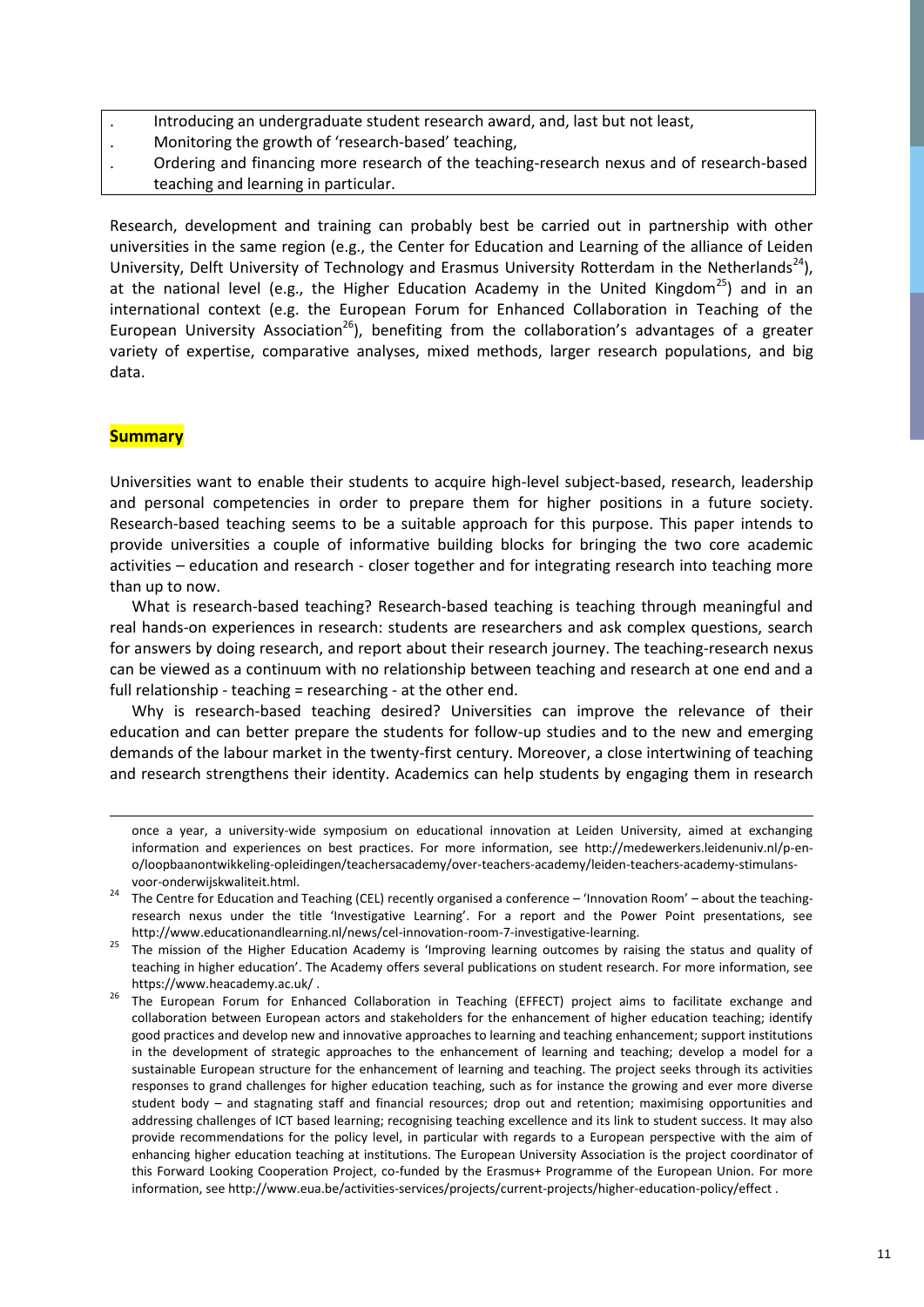- . Introducing an undergraduate student research award, and, last but not least,
- . Monitoring the growth of 'research-based' teaching,
- . Ordering and financing more research of the teaching-research nexus and of research-based teaching and learning in particular.

Research, development and training can probably best be carried out in partnership with other universities in the same region (e.g., the Center for Education and Learning of the alliance of Leiden University, Delft University of Technology and Erasmus University Rotterdam in the Netherlands<sup>24</sup>), at the national level (e.g., the Higher Education Academy in the United Kingdom<sup>25</sup>) and in an international context (e.g. the European Forum for Enhanced Collaboration in Teaching of the European University Association<sup>26</sup>), benefiting from the collaboration's advantages of a greater variety of expertise, comparative analyses, mixed methods, larger research populations, and big data.

# **Summary**

 $\overline{a}$ 

Universities want to enable their students to acquire high-level subject-based, research, leadership and personal competencies in order to prepare them for higher positions in a future society. Research-based teaching seems to be a suitable approach for this purpose. This paper intends to provide universities a couple of informative building blocks for bringing the two core academic activities – education and research - closer together and for integrating research into teaching more than up to now.

What is research-based teaching? Research-based teaching is teaching through meaningful and real hands-on experiences in research: students are researchers and ask complex questions, search for answers by doing research, and report about their research journey. The teaching-research nexus can be viewed as a continuum with no relationship between teaching and research at one end and a full relationship - teaching = researching - at the other end.

Why is research-based teaching desired? Universities can improve the relevance of their education and can better prepare the students for follow-up studies and to the new and emerging demands of the labour market in the twenty-first century. Moreover, a close intertwining of teaching and research strengthens their identity. Academics can help students by engaging them in research

once a year, a university-wide symposium on educational innovation at Leiden University, aimed at exchanging information and experiences on best practices. For more information, see [http://medewerkers.leidenuniv.nl/p-en](http://medewerkers.leidenuniv.nl/p-en-o/loopbaanontwikkeling-opleidingen/teachersacademy/over-teachers-academy/leiden-teachers-academy-stimulans-voor-onderwijskwaliteit.html)[o/loopbaanontwikkeling-opleidingen/teachersacademy/over-teachers-academy/leiden-teachers-academy-stimulans](http://medewerkers.leidenuniv.nl/p-en-o/loopbaanontwikkeling-opleidingen/teachersacademy/over-teachers-academy/leiden-teachers-academy-stimulans-voor-onderwijskwaliteit.html)[voor-onderwijskwaliteit.html.](http://medewerkers.leidenuniv.nl/p-en-o/loopbaanontwikkeling-opleidingen/teachersacademy/over-teachers-academy/leiden-teachers-academy-stimulans-voor-onderwijskwaliteit.html)

The Centre for Education and Teaching (CEL) recently organised a conference – 'Innovation Room' – about the teachingresearch nexus under the title 'Investigative Learning'. For a report and the Power Point presentations, see [http://www.educationandlearning.nl/news/cel-innovation-room-7-investigative-learning.](http://www.educationandlearning.nl/news/cel-innovation-room-7-investigative-learning) 

<sup>&</sup>lt;sup>25</sup> The mission of the Higher Education Academy is 'Improving learning outcomes by raising the status and quality of teaching in higher education'. The Academy offers several publications on student research. For more information, see <https://www.heacademy.ac.uk/> .

<sup>26</sup> The European Forum for Enhanced Collaboration in Teaching (EFFECT) project aims to facilitate exchange and collaboration between European actors and stakeholders for the enhancement of higher education teaching; identify good practices and develop new and innovative approaches to learning and teaching enhancement; support institutions in the development of strategic approaches to the enhancement of learning and teaching; develop a model for a sustainable European structure for the enhancement of learning and teaching. The project seeks through its activities responses to grand challenges for higher education teaching, such as for instance the growing and ever more diverse student body – and stagnating staff and financial resources; drop out and retention; maximising opportunities and addressing challenges of ICT based learning; recognising teaching excellence and its link to student success. It may also provide recommendations for the policy level, in particular with regards to a European perspective with the aim of enhancing higher education teaching at institutions. The European University Association is the project coordinator of this Forward Looking Cooperation Project, co-funded by the Erasmus+ Programme of the European Union. For more information, se[e http://www.eua.be/activities-services/projects/current-projects/higher-education-policy/effect](http://www.eua.be/activities-services/projects/current-projects/higher-education-policy/effect) .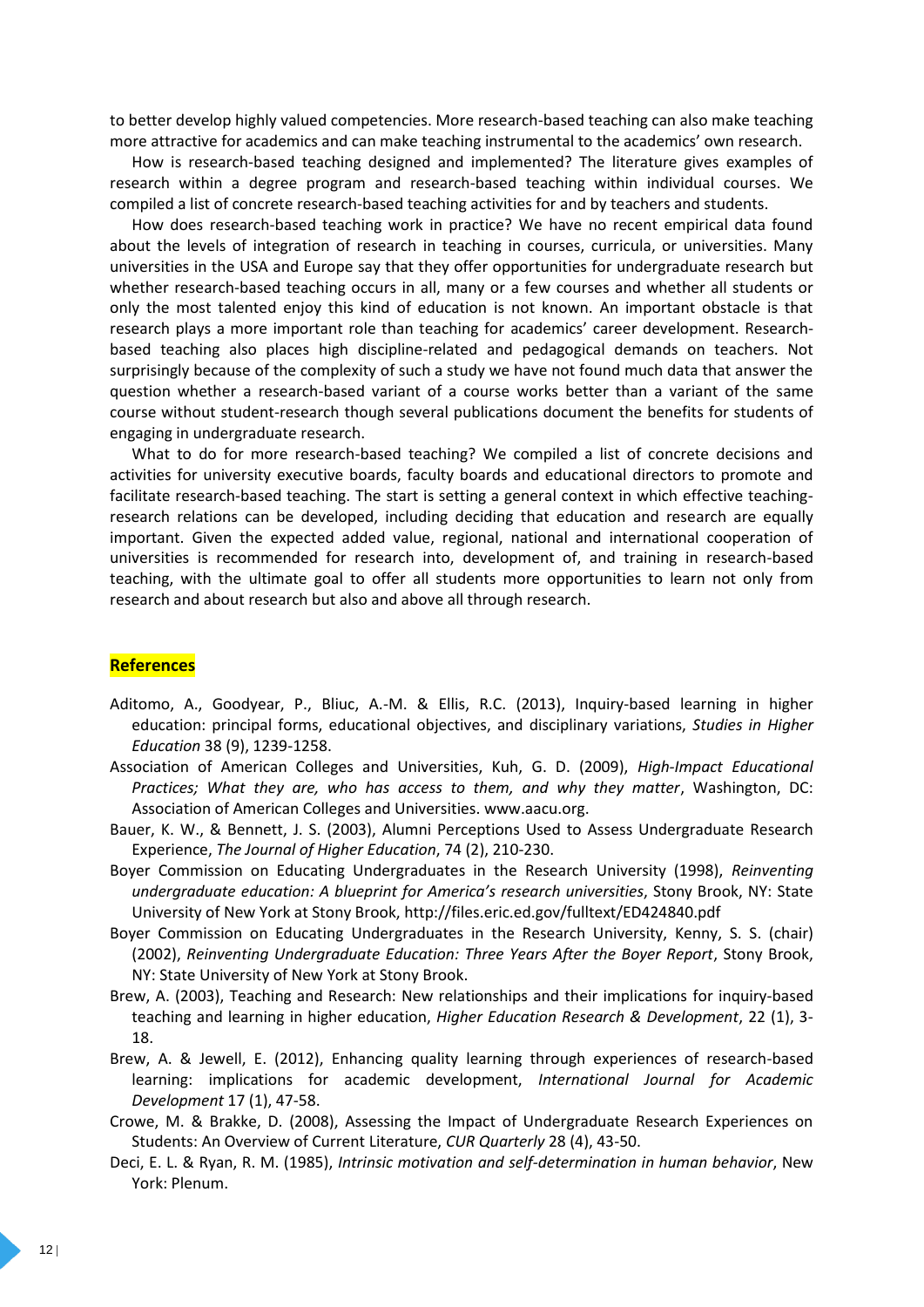to better develop highly valued competencies. More research-based teaching can also make teaching more attractive for academics and can make teaching instrumental to the academics' own research.

How is research-based teaching designed and implemented? The literature gives examples of research within a degree program and research-based teaching within individual courses. We compiled a list of concrete research-based teaching activities for and by teachers and students.

How does research-based teaching work in practice? We have no recent empirical data found about the levels of integration of research in teaching in courses, curricula, or universities. Many universities in the USA and Europe say that they offer opportunities for undergraduate research but whether research-based teaching occurs in all, many or a few courses and whether all students or only the most talented enjoy this kind of education is not known. An important obstacle is that research plays a more important role than teaching for academics' career development. Researchbased teaching also places high discipline-related and pedagogical demands on teachers. Not surprisingly because of the complexity of such a study we have not found much data that answer the question whether a research-based variant of a course works better than a variant of the same course without student-research though several publications document the benefits for students of engaging in undergraduate research.

What to do for more research-based teaching? We compiled a list of concrete decisions and activities for university executive boards, faculty boards and educational directors to promote and facilitate research-based teaching. The start is setting a general context in which effective teachingresearch relations can be developed, including deciding that education and research are equally important. Given the expected added value, regional, national and international cooperation of universities is recommended for research into, development of, and training in research-based teaching, with the ultimate goal to offer all students more opportunities to learn not only from research and about research but also and above all through research.

#### **References**

- Aditomo, A., Goodyear, P., Bliuc, A.-M. & Ellis, R.C. (2013), Inquiry-based learning in higher education: principal forms, educational objectives, and disciplinary variations, *Studies in Higher Education* 38 (9), 1239-1258.
- Association of American Colleges and Universities, Kuh, G. D. (2009), *High-Impact Educational Practices; What they are, who has access to them, and why they matter*, Washington, DC: Association of American Colleges and Universities. [www.aacu.org.](http://www.aacu.org/)
- Bauer, K. W., & Bennett, J. S. (2003), Alumni Perceptions Used to Assess Undergraduate Research Experience, *The Journal of Higher Education*, 74 (2), 210-230.
- Boyer Commission on Educating Undergraduates in the Research University (1998), *Reinventing undergraduate education: A blueprint for America's research universities*, Stony Brook, NY: State University of New York at Stony Brook[, http://files.eric.ed.gov/fulltext/ED424840.pdf](http://files.eric.ed.gov/fulltext/ED424840.pdf)
- Boyer Commission on Educating Undergraduates in the Research University, Kenny, S. S. (chair) (2002), *Reinventing Undergraduate Education: Three Years After the Boyer Report*, Stony Brook, NY: State University of New York at Stony Brook.
- Brew, A. (2003), Teaching and Research: New relationships and their implications for inquiry-based teaching and learning in higher education, *Higher Education Research & Development*, 22 (1), 3- 18.
- Brew, A. & Jewell, E. (2012), Enhancing quality learning through experiences of research-based learning: implications for academic development, *International Journal for Academic Development* 17 (1), 47-58.
- Crowe, M. & Brakke, D. (2008), Assessing the Impact of Undergraduate Research Experiences on Students: An Overview of Current Literature, *CUR Quarterly* 28 (4), 43-50.
- Deci, E. L. & Ryan, R. M. (1985), *Intrinsic motivation and self-determination in human behavior*, New York: Plenum.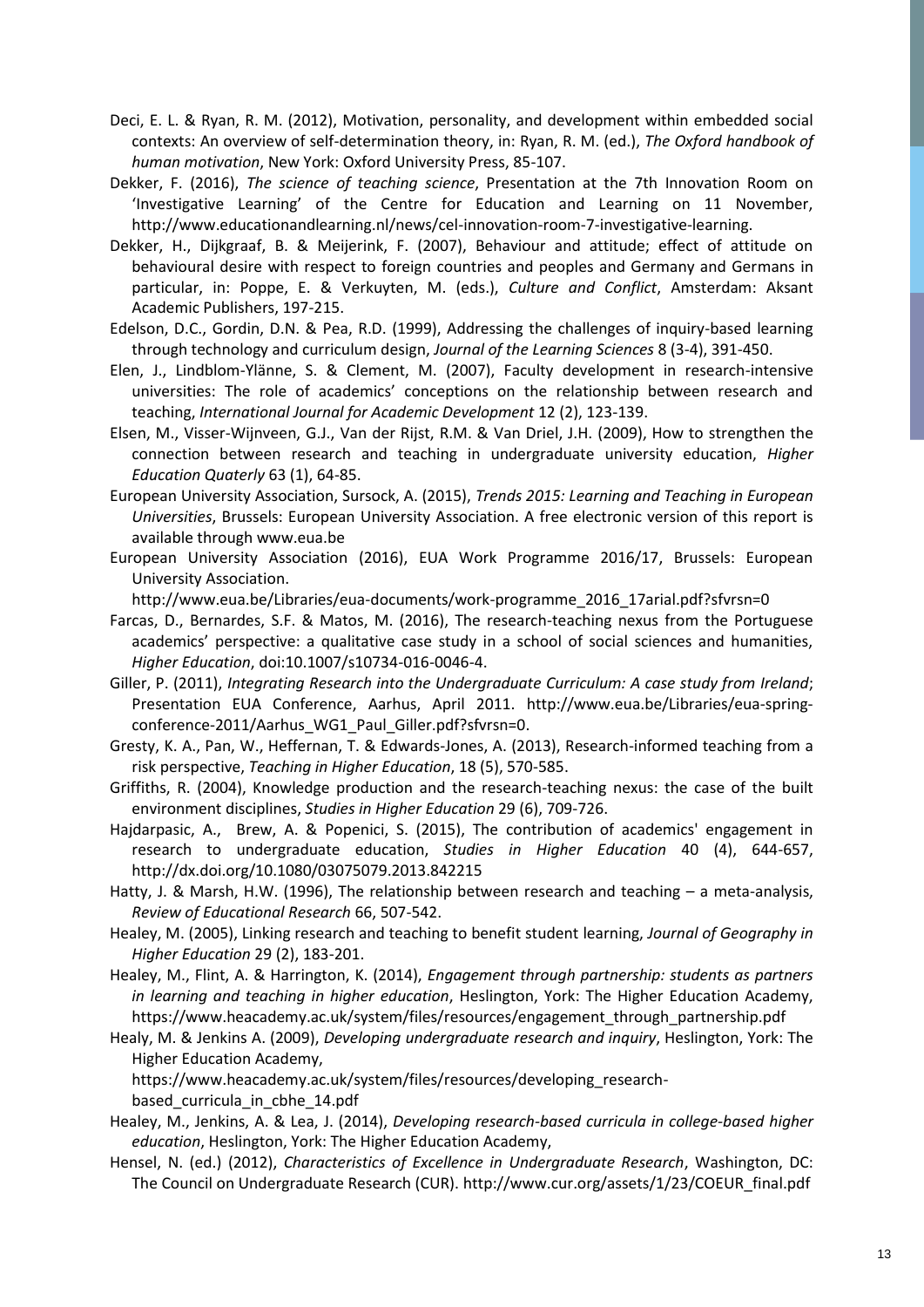- Deci, E. L. & Ryan, R. M. (2012), Motivation, personality, and development within embedded social contexts: An overview of self-determination theory, in: Ryan, R. M. (ed.), *The Oxford handbook of human motivation*, New York: Oxford University Press, 85-107.
- Dekker, F. (2016), *The science of teaching science*, Presentation at the 7th Innovation Room on 'Investigative Learning' of the Centre for Education and Learning on 11 November, [http://www.educationandlearning.nl/news/cel-innovation-room-7-investigative-learning.](http://www.educationandlearning.nl/news/cel-innovation-room-7-investigative-learning)
- Dekker, H., Dijkgraaf, B. & Meijerink, F. (2007), Behaviour and attitude; effect of attitude on behavioural desire with respect to foreign countries and peoples and Germany and Germans in particular, in: Poppe, E. & Verkuyten, M. (eds.), *Culture and Conflict*, Amsterdam: Aksant Academic Publishers, 197-215.
- Edelson, D.C., Gordin, D.N. & Pea, R.D. (1999), Addressing the challenges of inquiry-based learning through technology and curriculum design, *Journal of the Learning Sciences* 8 (3-4), 391-450.
- Elen, J., Lindblom-Ylänne, S. & Clement, M. (2007), Faculty development in research-intensive universities: The role of academics' conceptions on the relationship between research and teaching, *International Journal for Academic Development* 12 (2), 123-139.
- Elsen, M., Visser-Wijnveen, G.J., Van der Rijst, R.M. & Van Driel, J.H. (2009), How to strengthen the connection between research and teaching in undergraduate university education, *Higher Education Quaterly* 63 (1), 64-85.
- European University Association, Sursock, A. (2015), *Trends 2015: Learning and Teaching in European Universities*, Brussels: European University Association. A free electronic version of this report is available throug[h www.eua.be](http://www.eua.be/)
- European University Association (2016), EUA Work Programme 2016/17, Brussels: European University Association.
	- [http://www.eua.be/Libraries/eua-documents/work-programme\\_2016\\_17arial.pdf?sfvrsn=0](http://www.eua.be/Libraries/eua-documents/work-programme_2016_17arial.pdf?sfvrsn=0)
- Farcas, D., Bernardes, S.F. & Matos, M. (2016), The research-teaching nexus from the Portuguese academics' perspective: a qualitative case study in a school of social sciences and humanities, *Higher Education*, doi:10.1007/s10734-016-0046-4.
- Giller, P. (2011), *Integrating Research into the Undergraduate Curriculum: A case study from Ireland*; Presentation EUA Conference, Aarhus, April 2011. [http://www.eua.be/Libraries/eua-spring](http://www.eua.be/Libraries/eua-spring-conference-2011/Aarhus_WG1_Paul_Giller.pdf?sfvrsn=0)conference-2011/Aarhus WG1 Paul Giller.pdf?sfvrsn=0.
- Gresty, K. A., Pan, W., Heffernan, T. & Edwards-Jones, A. (2013), Research-informed teaching from a risk perspective, *Teaching in Higher Education*, 18 (5), 570-585.
- Griffiths, R. (2004), Knowledge production and the research-teaching nexus: the case of the built environment disciplines, *Studies in Higher Education* 29 (6), 709-726.
- Hajdarpasic, A., Brew, A. & Popenici, S. (2015), The contribution of academics' engagement in research to undergraduate education, *Studies in Higher Education* 40 (4), 644-657, http://dx.doi.org/10.1080/03075079.2013.842215
- Hatty, J. & Marsh, H.W. (1996), The relationship between research and teaching a meta-analysis, *Review of Educational Research* 66, 507-542.
- Healey, M. (2005), Linking research and teaching to benefit student learning, *Journal of Geography in Higher Education* 29 (2), 183-201.
- Healey, M., Flint, A. & Harrington, K. (2014), *Engagement through partnership: students as partners in learning and teaching in higher education*, Heslington, York: The Higher Education Academy, [https://www.heacademy.ac.uk/system/files/resources/engagement\\_through\\_partnership.pdf](https://www.heacademy.ac.uk/system/files/resources/engagement_through_partnership.pdf)
- Healy, M. & Jenkins A. (2009), *Developing undergraduate research and inquiry*, Heslington, York: The Higher Education Academy,

[https://www.heacademy.ac.uk/system/files/resources/developing\\_research](https://www.heacademy.ac.uk/system/files/resources/developing_research-based_curricula_in_cbhe_14.pdf)[based\\_curricula\\_in\\_cbhe\\_14.pdf](https://www.heacademy.ac.uk/system/files/resources/developing_research-based_curricula_in_cbhe_14.pdf)

- Healey, M., Jenkins, A. & Lea, J. (2014), *Developing research-based curricula in college-based higher education*, Heslington, York: The Higher Education Academy,
- Hensel, N. (ed.) (2012), *Characteristics of Excellence in Undergraduate Research*, Washington, DC: The Council on Undergraduate Research (CUR). [http://www.cur.org/assets/1/23/COEUR\\_final.pdf](http://www.cur.org/assets/1/23/COEUR_final.pdf)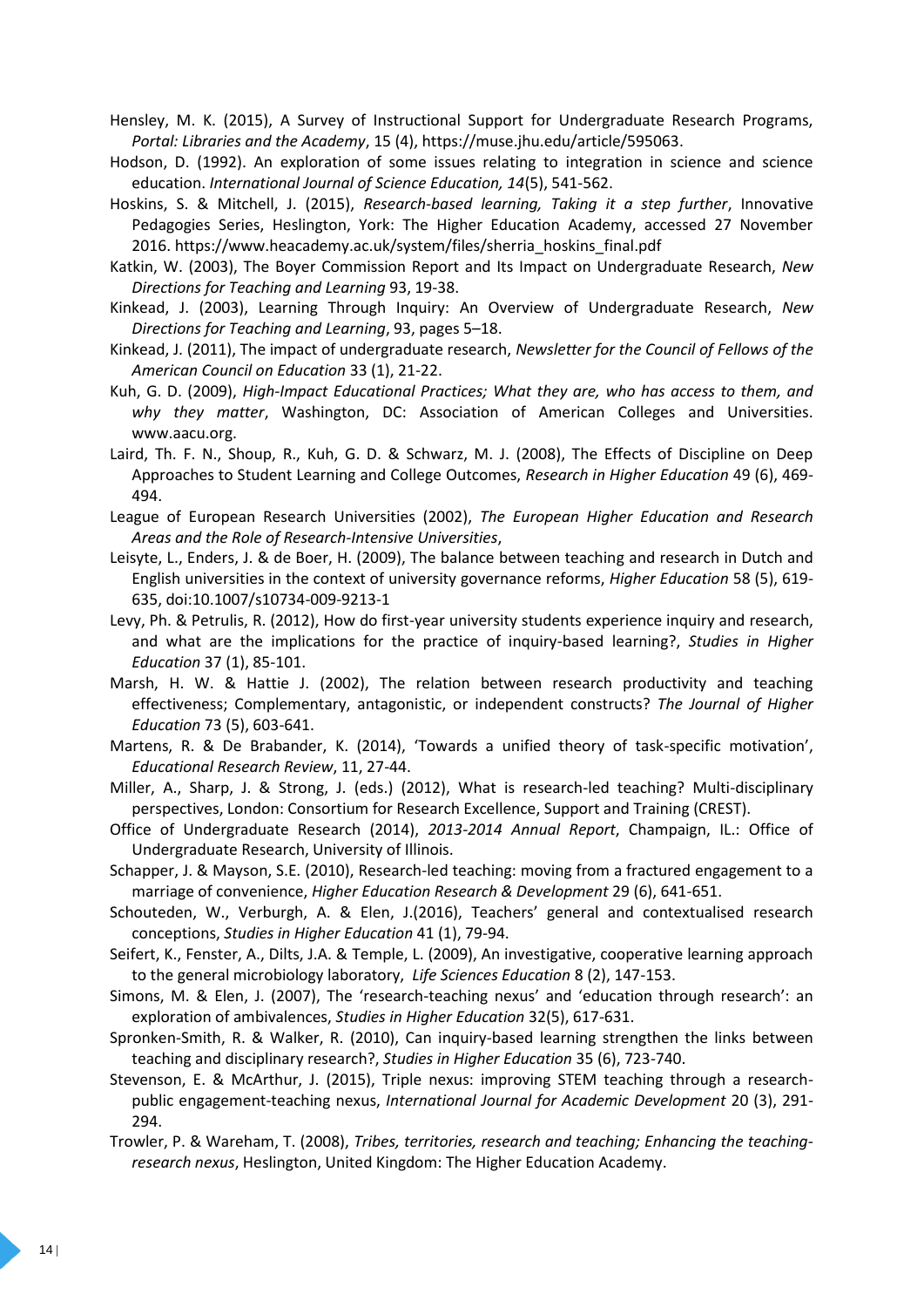Hensley, M. K. (2015), A Survey of Instructional Support for Undergraduate Research Programs, *Portal: Libraries and the Academy*, 15 (4), [https://muse.jhu.edu/article/595063.](https://muse.jhu.edu/article/595063)

- Hodson, D. (1992). An exploration of some issues relating to integration in science and science education. *International Journal of Science Education, 14*(5), 541-562.
- Hoskins, S. & Mitchell, J. (2015), *Research-based learning, Taking it a step further*, Innovative Pedagogies Series, Heslington, York: The Higher Education Academy, accessed 27 November 2016[. https://www.heacademy.ac.uk/system/files/sherria\\_hoskins\\_final.pdf](https://www.heacademy.ac.uk/system/files/sherria_hoskins_final.pdf)
- Katkin, W. (2003), The Boyer Commission Report and Its Impact on Undergraduate Research, *New Directions for Teaching and Learning* 93, 19-38.
- Kinkead, J. (2003), Learning Through Inquiry: An Overview of Undergraduate Research, *New Directions for Teaching and Learning*, 93, pages 5–18.
- Kinkead, J. (2011), The impact of undergraduate research, *Newsletter for the Council of Fellows of the American Council on Education* 33 (1), 21-22.
- Kuh, G. D. (2009), *High-Impact Educational Practices; What they are, who has access to them, and why they matter*, Washington, DC: Association of American Colleges and Universities. www.aacu.org.
- Laird, Th. F. N., Shoup, R., Kuh, G. D. & Schwarz, M. J. (2008), The Effects of Discipline on Deep Approaches to Student Learning and College Outcomes, *Research in Higher Education* 49 (6), 469- 494.
- League of European Research Universities (2002), *The European Higher Education and Research Areas and the Role of Research-Intensive Universities*,
- Leisyte, L., Enders, J. & de Boer, H. (2009), The balance between teaching and research in Dutch and English universities in the context of university governance reforms, *Higher Education* 58 (5), 619- 635, doi:10.1007/s10734-009-9213-1
- Levy, Ph. & Petrulis, R. (2012), How do first-year university students experience inquiry and research, and what are the implications for the practice of inquiry-based learning?, *Studies in Higher Education* 37 (1), 85-101.
- Marsh, H. W. & Hattie J. (2002), The relation between research productivity and teaching effectiveness; Complementary, antagonistic, or independent constructs? *The Journal of Higher Education* 73 (5), 603-641.
- Martens, R. & De Brabander, K. (2014), 'Towards a unified theory of task-specific motivation', *Educational Research Review*, 11, 27-44.
- Miller, A., Sharp, J. & Strong, J. (eds.) (2012), What is research-led teaching? Multi-disciplinary perspectives, London: Consortium for Research Excellence, Support and Training (CREST).
- Office of Undergraduate Research (2014), *2013-2014 Annual Report*, Champaign, IL.: Office of Undergraduate Research, University of Illinois.
- Schapper, J. & Mayson, S.E. (2010), Research-led teaching: moving from a fractured engagement to a marriage of convenience, *Higher Education Research & Development* 29 (6), 641-651.
- Schouteden, W., Verburgh, A. & Elen, J.(2016), Teachers' general and contextualised research conceptions, *Studies in Higher Education* 41 (1), 79-94.
- Seifert, K., Fenster, A., Dilts, J.A. & Temple, L. (2009), An investigative, cooperative learning approach to the general microbiology laboratory, *Life Sciences Education* 8 (2), 147-153.
- Simons, M. & Elen, J. (2007), The 'research-teaching nexus' and 'education through research': an exploration of ambivalences, *Studies in Higher Education* 32(5), 617-631.
- Spronken-Smith, R. & Walker, R. (2010), Can inquiry-based learning strengthen the links between teaching and disciplinary research?, *Studies in Higher Education* 35 (6), 723-740.
- Stevenson, E. & McArthur, J. (2015), Triple nexus: improving STEM teaching through a researchpublic engagement-teaching nexus, *International Journal for Academic Development* 20 (3), 291- 294.
- Trowler, P. & Wareham, T. (2008), *Tribes, territories, research and teaching; Enhancing the teachingresearch nexus*, Heslington, United Kingdom: The Higher Education Academy.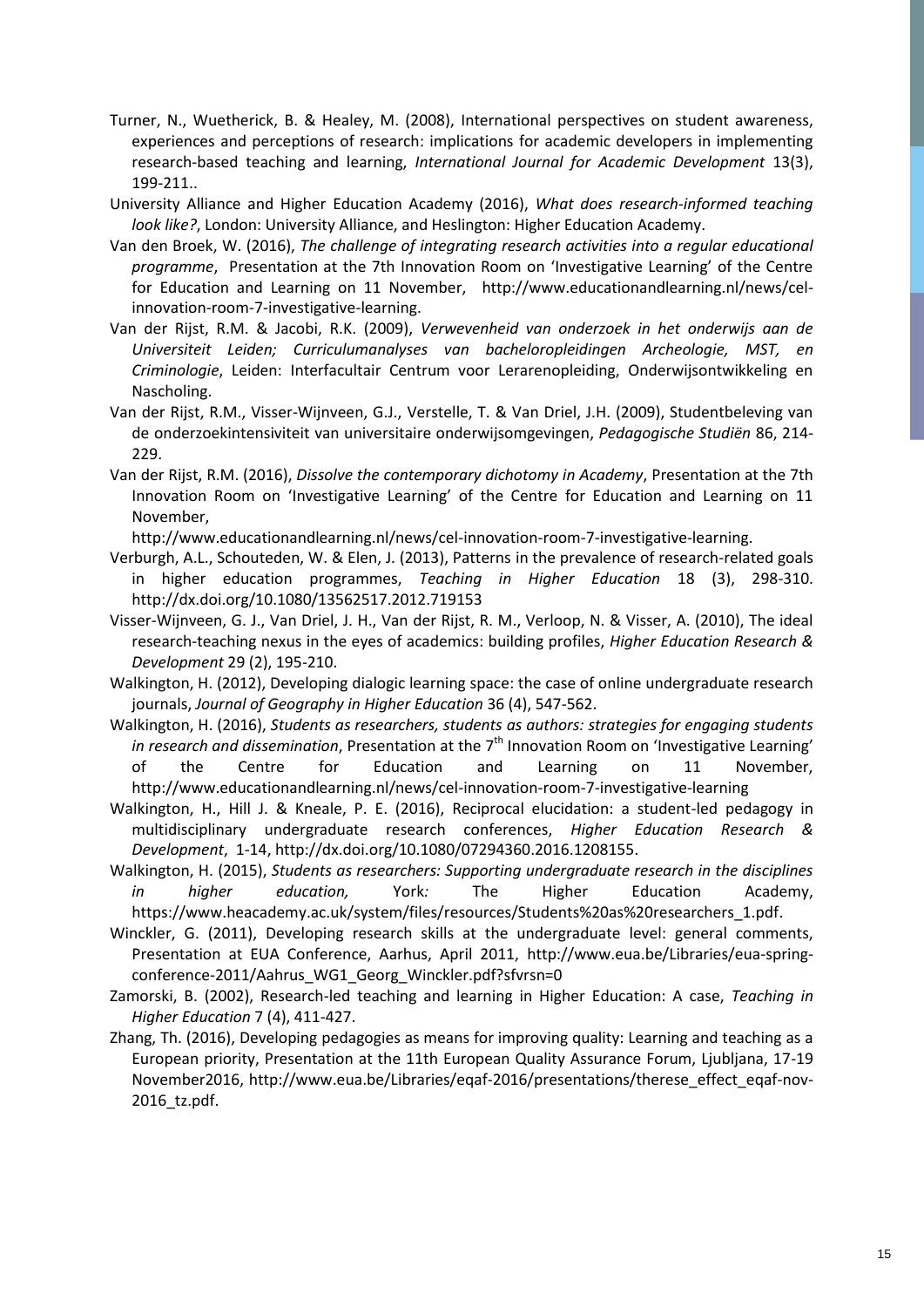- Turner, N., Wuetherick, B. & Healey, M. (2008), International perspectives on student awareness, experiences and perceptions of research: implications for academic developers in implementing research‐based teaching and learning, *International Journal for Academic Development* 13(3), 199-211..
- University Alliance and Higher Education Academy (2016), *What does research-informed teaching look like?*, London: University Alliance, and Heslington: Higher Education Academy.
- Van den Broek, W. (2016), *The challenge of integrating research activities into a regular educational programme*, Presentation at the 7th Innovation Room on 'Investigative Learning' of the Centre for Education and Learning on 11 November, [http://www.educationandlearning.nl/news/cel](http://www.educationandlearning.nl/news/cel-innovation-room-7-investigative-learning)[innovation-room-7-investigative-learning.](http://www.educationandlearning.nl/news/cel-innovation-room-7-investigative-learning)
- Van der Rijst, R.M. & Jacobi, R.K. (2009), *Verwevenheid van onderzoek in het onderwijs aan de Universiteit Leiden; Curriculumanalyses van bacheloropleidingen Archeologie, MST, en Criminologie*, Leiden: Interfacultair Centrum voor Lerarenopleiding, Onderwijsontwikkeling en Nascholing.
- Van der Rijst, R.M., Visser-Wijnveen, G.J., Verstelle, T. & Van Driel, J.H. (2009), Studentbeleving van de onderzoekintensiviteit van universitaire onderwijsomgevingen, *Pedagogische Studiën* 86, 214- 229.
- Van der Rijst, R.M. (2016), *Dissolve the contemporary dichotomy in Academy*, Presentation at the 7th Innovation Room on 'Investigative Learning' of the Centre for Education and Learning on 11 November,

[http://www.educationandlearning.nl/news/cel-innovation-room-7-investigative-learning.](http://www.educationandlearning.nl/news/cel-innovation-room-7-investigative-learning)

- Verburgh, A.L., Schouteden, W. & Elen, J. (2013), Patterns in the prevalence of research-related goals in higher education programmes, *Teaching in Higher Education* 18 (3), 298-310. <http://dx.doi.org/10.1080/13562517.2012.719153>
- Visser-Wijnveen, G. J., Van Driel, J. H., Van der Rijst, R. M., Verloop, N. & Visser, A. (2010), The ideal research-teaching nexus in the eyes of academics: building profiles, *Higher Education Research & Development* 29 (2), 195-210.
- Walkington, H. (2012), Developing dialogic learning space: the case of online undergraduate research journals, *Journal of Geography in Higher Education* 36 (4), 547-562.
- Walkington, H. (2016), *Students as researchers, students as authors: strategies for engaging students in research and dissemination*, Presentation at the 7<sup>th</sup> Innovation Room on 'Investigative Learning' of the Centre for Education and Learning on 11 November, <http://www.educationandlearning.nl/news/cel-innovation-room-7-investigative-learning>
- Walkington, H., Hill J. & Kneale, P. E. (2016), Reciprocal elucidation: a student-led pedagogy in multidisciplinary undergraduate research conferences, *Higher Education Research & Development*, 1-14, http://dx.doi.org/10.1080/07294360.2016.1208155.
- Walkington, H. (2015), *Students as researchers: Supporting undergraduate research in the disciplines in higher education,* York*:* The Higher Education Academy, [https://www.heacademy.ac.uk/system/files/resources/Students%20as%20researchers\\_1.pdf.](https://www.heacademy.ac.uk/system/files/resources/Students%20as%20researchers_1.pdf)
- Winckler, G. (2011), Developing research skills at the undergraduate level: general comments, Presentation at EUA Conference, Aarhus, April 2011, [http://www.eua.be/Libraries/eua-spring](http://www.eua.be/Libraries/eua-spring-conference-2011/Aahrus_WG1_Georg_Winckler.pdf?sfvrsn=0)[conference-2011/Aahrus\\_WG1\\_Georg\\_Winckler.pdf?sfvrsn=0](http://www.eua.be/Libraries/eua-spring-conference-2011/Aahrus_WG1_Georg_Winckler.pdf?sfvrsn=0)
- Zamorski, B. (2002), Research-led teaching and learning in Higher Education: A case, *Teaching in Higher Education* 7 (4), 411-427.
- Zhang, Th. (2016), Developing pedagogies as means for improving quality: Learning and teaching as a European priority, Presentation at the 11th European Quality Assurance Forum, Ljubljana, 17-19 November2016, [http://www.eua.be/Libraries/eqaf-2016/presentations/therese\\_effect\\_eqaf-nov-](http://www.eua.be/Libraries/eqaf-2016/presentations/therese_effect_eqaf-nov-2016_tz.pdf)[2016\\_tz.pdf.](http://www.eua.be/Libraries/eqaf-2016/presentations/therese_effect_eqaf-nov-2016_tz.pdf)